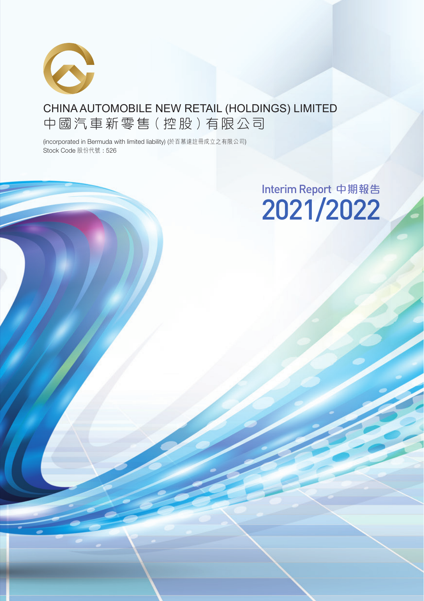

## CHINA AUTOMOBILE NEW RETAIL (HOLDINGS) LIMITED 中 國 汽 車 新 零 售(控 股)有 限 公司

(incorporated in Bermuda with limited liability) (於百慕達註冊成立之有限公司) Stock Code 股份代號 : 526

# Interim Report 中期報告 2021/2022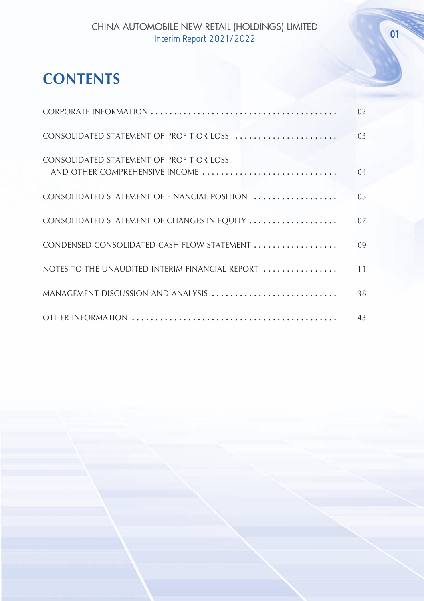## **CONTENTS**

|                                                                            | 02             |
|----------------------------------------------------------------------------|----------------|
| CONSOLIDATED STATEMENT OF PROFIT OR LOSS                                   | 0 <sup>3</sup> |
| CONSOLIDATED STATEMENT OF PROFIT OR LOSS<br>AND OTHER COMPREHENSIVE INCOME | 04             |
| CONSOLIDATED STATEMENT OF FINANCIAL POSITION                               | 0.5            |
| CONSOLIDATED STATEMENT OF CHANGES IN EQUITY                                | 07             |
| CONDENSED CONSOLIDATED CASH FLOW STATEMENT                                 | 09             |
| NOTES TO THE UNAUDITED INTERIM FINANCIAL REPORT                            | 11             |
| MANAGEMENT DISCUSSION AND ANALYSIS                                         | 38             |
|                                                                            | 43             |

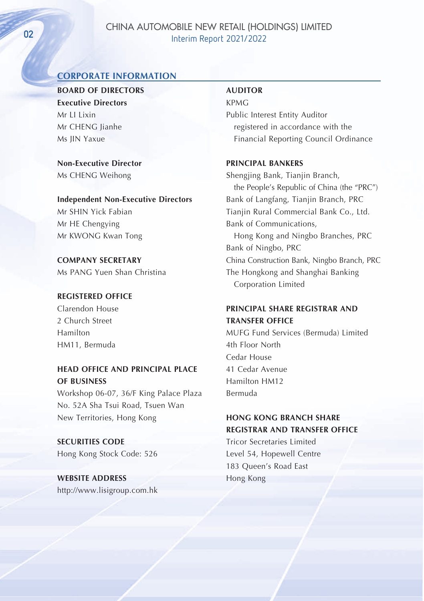## CHINA AUTOMOBILE NEW RETAIL (HOLDINGS) LIMITED OR CHINA ASSEMBLE TERM REPORT 2021/2022

## **CORPORATE INFORMATION**

**BOARD OF DIRECTORS Executive Directors** Mr II Lixin Mr CHENG Jianhe Ms JIN Yaxue

**Non-Executive Director** Ms CHENG Weihong

**Independent Non-Executive Directors** Mr SHIN Yick Fabian Mr HE Chengying Mr KWONG Kwan Tong

**COMPANY SECRETARY** Ms PANG Yuen Shan Christina

#### **REGISTERED OFFICE**

Clarendon House 2 Church Street Hamilton HM11, Bermuda

**HEAD OFFICE AND PRINCIPAL PLACE OF BUSINESS** Workshop 06-07, 36/F King Palace Plaza

No. 52A Sha Tsui Road, Tsuen Wan New Territories, Hong Kong

**SECURITIES CODE** Hong Kong Stock Code: 526

**WEBSITE ADDRESS** http://www.lisigroup.com.hk

#### **AUDITOR**

KPMG Public Interest Entity Auditor registered in accordance with the Financial Reporting Council Ordinance

#### **PRINCIPAL BANKERS**

Shengjing Bank, Tianjin Branch, the People's Republic of China (the "PRC") Bank of Langfang, Tianjin Branch, PRC Tianiin Rural Commercial Bank Co., Ltd. Bank of Communications, Hong Kong and Ningbo Branches, PRC Bank of Ningbo, PRC China Construction Bank, Ningbo Branch, PRC The Hongkong and Shanghai Banking Corporation Limited

## **PRINCIPAL SHARE REGISTRAR AND TRANSFER OFFICE**

MUFG Fund Services (Bermuda) Limited 4th Floor North Cedar House 41 Cedar Avenue Hamilton HM12 Bermuda

## **HONG KONG BRANCH SHARE REGISTRAR AND TRANSFER OFFICE**

Tricor Secretaries Limited Level 54, Hopewell Centre 183 Queen's Road East Hong Kong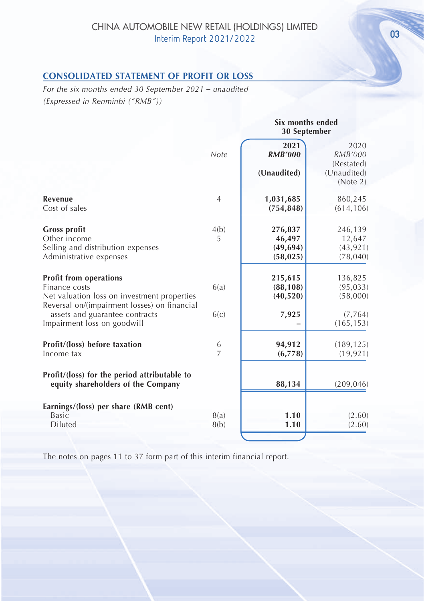## **CONSOLIDATED STATEMENT OF PROFIT OR LOSS**

*For the six months ended 30 September 2021 – unaudited (Expressed in Renminbi ("RMB"))*

|                                                                                                                                               |                | 30 September                                |                                                                 |
|-----------------------------------------------------------------------------------------------------------------------------------------------|----------------|---------------------------------------------|-----------------------------------------------------------------|
|                                                                                                                                               | Note           | 2021<br><b>RMB'000</b><br>(Unaudited)       | 2020<br><b>RMB'000</b><br>(Restated)<br>(Unaudited)<br>(Note 2) |
| <b>Revenue</b><br>Cost of sales                                                                                                               | $\overline{4}$ | 1,031,685<br>(754, 848)                     | 860,245<br>(614, 106)                                           |
| <b>Gross profit</b><br>Other income<br>Selling and distribution expenses<br>Administrative expenses                                           | 4(b)<br>5      | 276,837<br>46,497<br>(49, 694)<br>(58, 025) | 246,139<br>12,647<br>(43, 921)<br>(78, 040)                     |
| <b>Profit from operations</b><br>Finance costs<br>Net valuation loss on investment properties<br>Reversal on/(impairment losses) on financial | 6(a)           | 215,615<br>(88, 108)<br>(40, 520)           | 136,825<br>(95, 033)<br>(58,000)                                |
| assets and guarantee contracts<br>Impairment loss on goodwill                                                                                 | 6(c)           | 7,925                                       | (7, 764)<br>(165, 153)                                          |
| Profit/(loss) before taxation<br>Income tax                                                                                                   | $\frac{6}{7}$  | 94,912<br>(6,778)                           | (189, 125)<br>(19, 921)                                         |
| Profit/(loss) for the period attributable to<br>equity shareholders of the Company                                                            |                | 88,134                                      | (209, 046)                                                      |
| Earnings/(loss) per share (RMB cent)<br><b>Basic</b><br><b>Diluted</b>                                                                        | 8(a)<br>8(b)   | 1.10<br>1.10                                | (2.60)<br>(2.60)                                                |
|                                                                                                                                               |                |                                             |                                                                 |

The notes on pages 11 to 37 form part of this interim financial report.

**Six months ended**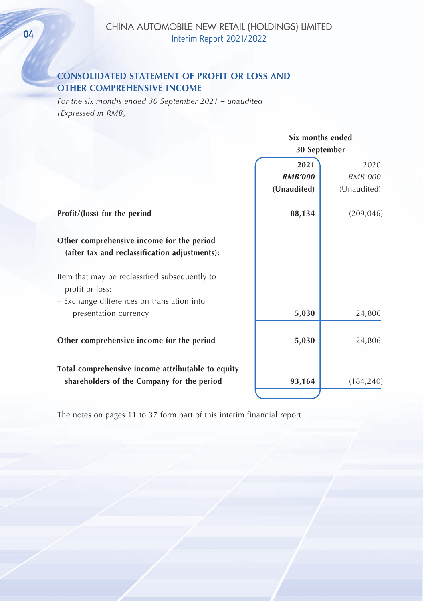## **CONSOLIDATED STATEMENT OF PROFIT OR LOSS AND OTHER COMPREHENSIVE INCOME**

*For the six months ended 30 September 2021 – unaudited (Expressed in RMB)*

|                                                                                            | Six months ended |                |
|--------------------------------------------------------------------------------------------|------------------|----------------|
|                                                                                            | 30 September     |                |
|                                                                                            | 2021             | 2020           |
|                                                                                            | <b>RMB'000</b>   | <b>RMB'000</b> |
|                                                                                            | (Unaudited)      | (Unaudited)    |
| Profit/(loss) for the period                                                               | 88,134           | (209, 046)     |
| Other comprehensive income for the period<br>(after tax and reclassification adjustments): |                  |                |
| Item that may be reclassified subsequently to<br>profit or loss:                           |                  |                |
| - Exchange differences on translation into                                                 |                  |                |
| presentation currency                                                                      | 5,030            | 24,806         |
| Other comprehensive income for the period                                                  | 5,030            | 24,806         |
| Total comprehensive income attributable to equity                                          |                  |                |
| shareholders of the Company for the period                                                 | 93,164           | (184, 240)     |
|                                                                                            |                  |                |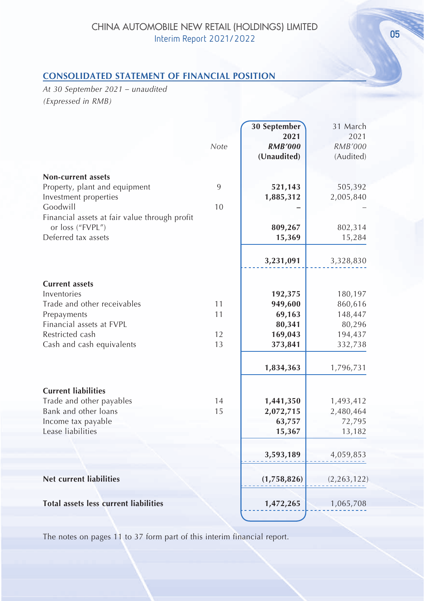## **CONSOLIDATED STATEMENT OF FINANCIAL POSITION**

*At 30 September 2021 – unaudited (Expressed in RMB)*

|                                               |      | 30 September   | 31 March       |
|-----------------------------------------------|------|----------------|----------------|
|                                               |      | 2021           | 2021           |
|                                               | Note | <b>RMB'000</b> | <b>RMB'000</b> |
|                                               |      | (Unaudited)    | (Audited)      |
| <b>Non-current assets</b>                     |      |                |                |
| Property, plant and equipment                 | 9    | 521,143        | 505,392        |
| Investment properties                         |      | 1,885,312      | 2,005,840      |
| Goodwill                                      | 10   |                |                |
| Financial assets at fair value through profit |      |                |                |
| or loss ("FVPL")                              |      | 809,267        | 802,314        |
| Deferred tax assets                           |      | 15,369         | 15,284         |
|                                               |      |                |                |
|                                               |      | 3,231,091      | 3,328,830      |
|                                               |      |                |                |
| <b>Current assets</b><br>Inventories          |      | 192,375        | 180,197        |
| Trade and other receivables                   | 11   | 949,600        | 860,616        |
| Prepayments                                   | 11   | 69,163         | 148,447        |
| Financial assets at FVPL                      |      | 80,341         | 80,296         |
| Restricted cash                               | 12   | 169,043        | 194,437        |
| Cash and cash equivalents                     | 13   | 373,841        | 332,738        |
|                                               |      | 1,834,363      | 1,796,731      |
| <b>Current liabilities</b>                    |      |                |                |
| Trade and other payables                      | 14   | 1,441,350      | 1,493,412      |
| Bank and other loans                          | 15   | 2,072,715      | 2,480,464      |
| Income tax payable                            |      | 63,757         | 72,795         |
| Lease liabilities                             |      | 15,367         | 13,182         |
|                                               |      | 3,593,189      | 4,059,853      |
| <b>Net current liabilities</b>                |      | (1,758,826)    | (2, 263, 122)  |
| <b>Total assets less current liabilities</b>  |      | 1,472,265      | 1,065,708      |
|                                               |      |                |                |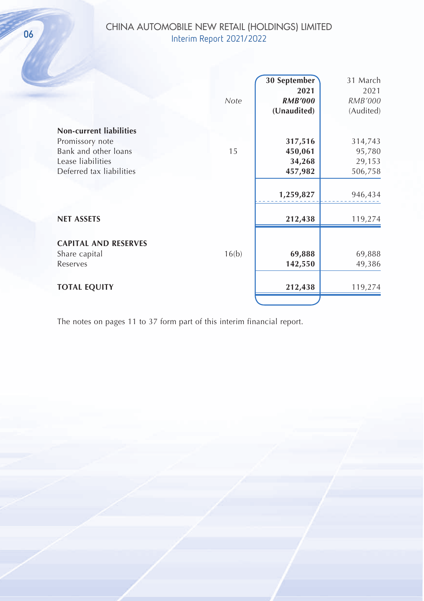## CHINA AUTOMOBILE NEW RETAIL (HOLDINGS) LIMITED CHINA AUTOMOBILE NEW RETAIL (HOLD Interim Report 2021/2022

| Note  | 30 September<br>2021<br><b>RMB'000</b><br>(Unaudited) | 31 March<br>2021<br>RMB'000<br>(Audited) |
|-------|-------------------------------------------------------|------------------------------------------|
|       |                                                       |                                          |
|       |                                                       | 314,743                                  |
| 15    | 450,061                                               | 95,780                                   |
|       | 34,268                                                | 29,153                                   |
|       | 457,982                                               | 506,758                                  |
|       | 1,259,827                                             | 946,434                                  |
|       | 212,438                                               | 119,274                                  |
|       |                                                       |                                          |
| 16(b) | 69,888                                                | 69,888                                   |
|       | 142,550                                               | 49,386                                   |
|       |                                                       | 119,274                                  |
|       |                                                       | 317,516<br>212,438                       |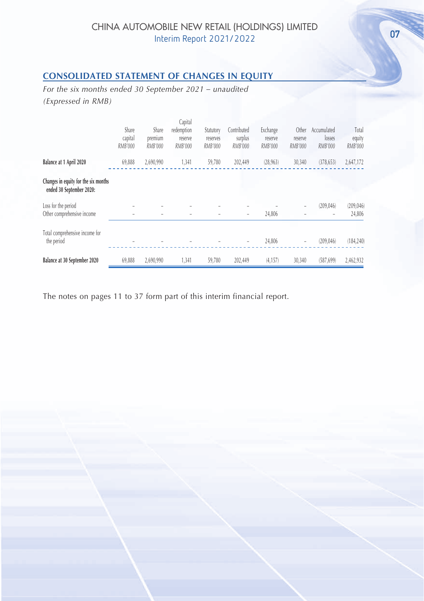## **CONSOLIDATED STATEMENT OF CHANGES IN EQUITY**

*For the six months ended 30 September 2021 – unaudited (Expressed in RMB)*

|                                                                  | Share<br>capital<br>RMB'000 | Share<br>premium<br>RMB'000 | Capital<br>redemption<br>reserve<br>RMB'000 | Statutory<br>reserves<br>RMB'000 | Contributed<br>surplus<br>RMB'000 | Exchange<br>reserve<br>RMB'000 | Other<br>reserve<br>RMB'000 | Accumulated<br>losses<br>RMB'000 | Total<br>equity<br>RMB'000 |
|------------------------------------------------------------------|-----------------------------|-----------------------------|---------------------------------------------|----------------------------------|-----------------------------------|--------------------------------|-----------------------------|----------------------------------|----------------------------|
| Balance at 1 April 2020                                          | 69,888                      | 2,690,990                   | 1,341                                       | 59,780                           | 202,449                           | (28, 963)                      | 30,340                      | (378, 653)                       | 2,647,172                  |
| Changes in equity for the six months<br>ended 30 September 2020: |                             |                             |                                             |                                  |                                   |                                |                             |                                  |                            |
| Loss for the period<br>Other comprehensive income                |                             |                             |                                             |                                  | $\qquad \qquad -$                 | 24,806                         |                             | (209.046)                        | (209, 046)<br>24,806       |
| Total comprehensive income for<br>the period                     |                             |                             |                                             |                                  | ٠                                 | 24,806                         | $\overline{\phantom{a}}$    | (209.046)                        | (184, 240)                 |
| Balance at 30 September 2020                                     | 69.888                      | 2,690,990                   | 1,341                                       | 59,780                           | 202,449                           | (4, 157)                       | 30,340                      | (587, 699)                       | 2,462,932                  |

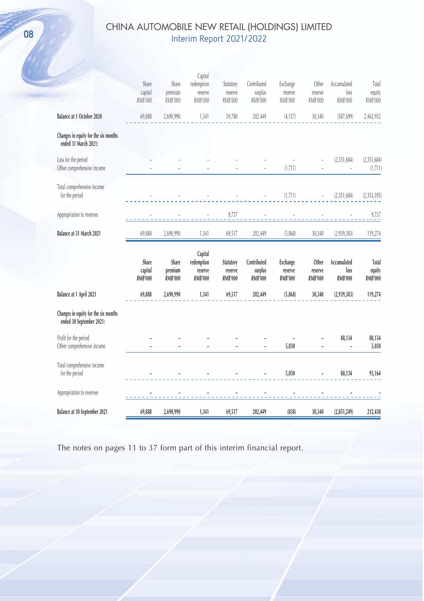## CHINA AUTOMOBILE NEW RETAIL (HOLDINGS) LIMITED CHINA AUTOMOBILE NEW KETAIL (HOLD Interim Report 2021/2022

|                                                                  | Share<br>capital<br>RMB'000        | Share<br>premium<br>RMB'000        | Capital<br>redemption<br>reserve<br><b>RMB'000</b> | Statutory<br>reserve<br>RMB'000        | Contributed<br>surplus<br>RMB'000        | Exchange<br>reserve<br>RMB'000        | Other<br>reserve<br>RMB'000        | Accumulated<br>loss<br>RMB'000        | Total<br>equity<br>RMB'000        |
|------------------------------------------------------------------|------------------------------------|------------------------------------|----------------------------------------------------|----------------------------------------|------------------------------------------|---------------------------------------|------------------------------------|---------------------------------------|-----------------------------------|
| Balance at 1 October 2020                                        | 69,888                             | 2,690,990                          | 1,341                                              | 59,780                                 | 202,449                                  | (4, 157)                              | 30,340                             | (587, 699)                            | 2,462,932                         |
| Changes in equity for the six months<br>ended 31 March 2021:     |                                    |                                    |                                                    |                                        |                                          |                                       |                                    |                                       |                                   |
| Loss for the period<br>Other comprehensive income                |                                    |                                    |                                                    |                                        |                                          | (1,711)                               |                                    | (2, 351, 684)                         | (2, 351, 684)<br>(1,711)          |
| Total comprehensive income<br>for the period                     |                                    |                                    |                                                    |                                        |                                          | (1,711)                               |                                    | (2, 351, 684)                         | (2, 353, 395)                     |
| Appropriation to reserves                                        |                                    |                                    |                                                    | 9,737                                  |                                          |                                       |                                    |                                       | 9,737                             |
| Balance at 31 March 2021                                         | 69,888                             | 2,690,990                          | 1,341                                              | 69,517                                 | 202,449                                  | (5,868)                               | 30,340                             | (2,939,383)                           | 119,274                           |
|                                                                  |                                    |                                    |                                                    |                                        |                                          |                                       |                                    |                                       |                                   |
|                                                                  | Share<br>capital<br><b>RMB'000</b> | Share<br>premium<br><b>RMB'000</b> | Capital<br>redemption<br>reserve<br><b>RMB'000</b> | Statutory<br>reserve<br><b>RMB'000</b> | Contributed<br>surplus<br><b>RMB'000</b> | Exchange<br>reserve<br><b>RMB'000</b> | Other<br>reserve<br><b>RMB'000</b> | Accumulated<br>loss<br><b>RMB'000</b> | Total<br>equity<br><b>RMB'000</b> |
| Balance at 1 April 2021                                          | 69,888                             | 2,690,990                          | 1,341                                              | 69,517                                 | 202,449                                  | (5,868)                               | 30,340                             | (2,939,383)                           | 119,274                           |
| Changes in equity for the six months<br>ended 30 September 2021: |                                    |                                    |                                                    |                                        |                                          |                                       |                                    |                                       |                                   |
| Profit for the period<br>Other comprehensive income              |                                    |                                    |                                                    |                                        |                                          | 5,030                                 |                                    | 88,134                                | 88,134<br>5,030                   |
| Total comprehensive income<br>for the period                     |                                    |                                    |                                                    |                                        |                                          | 5,030                                 |                                    | 88,134                                | 93,164                            |
| Appropriation to reserves                                        |                                    |                                    |                                                    |                                        |                                          |                                       |                                    |                                       |                                   |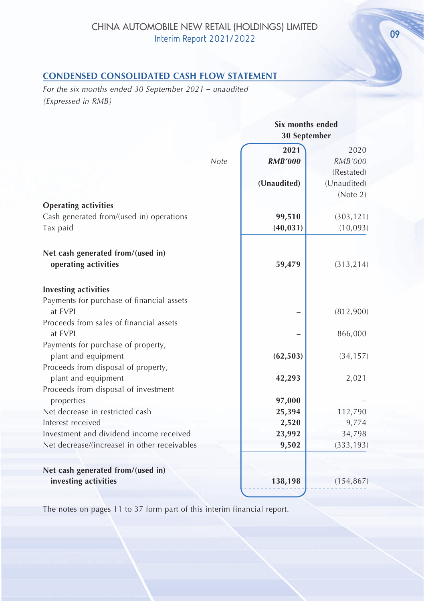## **CONDENSED CONSOLIDATED CASH FLOW STATEMENT**

*For the six months ended 30 September 2021 – unaudited (Expressed in RMB)*

|                                                              | Six months ended<br>30 September |                        |  |
|--------------------------------------------------------------|----------------------------------|------------------------|--|
| Note                                                         | 2021<br><b>RMB'000</b>           | 2020<br><b>RMB'000</b> |  |
|                                                              |                                  | (Restated)             |  |
|                                                              | (Unaudited)                      | (Unaudited)            |  |
|                                                              |                                  | (Note 2)               |  |
| <b>Operating activities</b>                                  |                                  |                        |  |
| Cash generated from/(used in) operations                     | 99,510                           | (303, 121)             |  |
| Tax paid                                                     | (40, 031)                        | (10,093)               |  |
|                                                              |                                  |                        |  |
| Net cash generated from/(used in)                            |                                  |                        |  |
| operating activities                                         | 59,479                           | (313, 214)             |  |
|                                                              |                                  |                        |  |
| <b>Investing activities</b>                                  |                                  |                        |  |
| Payments for purchase of financial assets                    |                                  |                        |  |
| at FVPL                                                      |                                  | (812,900)              |  |
| Proceeds from sales of financial assets                      |                                  |                        |  |
| at FVPL                                                      |                                  | 866,000                |  |
| Payments for purchase of property,                           |                                  |                        |  |
| plant and equipment                                          | (62, 503)                        | (34, 157)              |  |
| Proceeds from disposal of property,                          |                                  |                        |  |
| plant and equipment                                          | 42,293                           | 2,021                  |  |
| Proceeds from disposal of investment                         |                                  |                        |  |
| properties                                                   | 97,000                           |                        |  |
| Net decrease in restricted cash                              | 25,394                           | 112,790                |  |
| Interest received<br>Investment and dividend income received | 2,520                            | 9,774                  |  |
| Net decrease/(increase) in other receivables                 | 23,992<br>9,502                  | 34,798                 |  |
|                                                              |                                  | (333, 193)             |  |
|                                                              |                                  |                        |  |
| Net cash generated from/(used in)                            |                                  |                        |  |
| investing activities                                         | 138,198                          | (154, 867)             |  |
|                                                              |                                  |                        |  |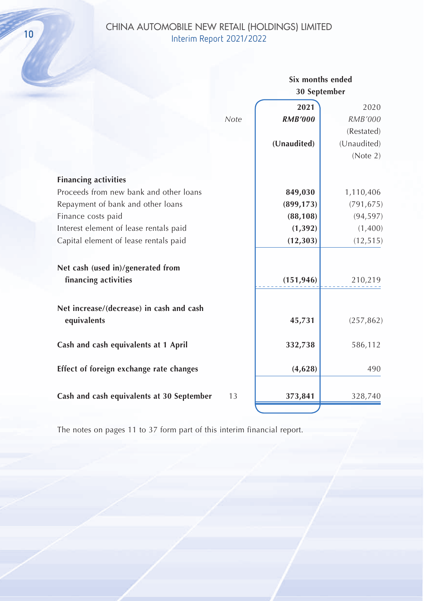# CHINA AUTOMOBILE NEW RETAIL (HOLDINGS) LIMITED CHINA AUTOMOBILE NEW RETAIL (HOLL<br>Interim Report 2021/2022

|                                           |      | Six months ended<br>30 September |             |
|-------------------------------------------|------|----------------------------------|-------------|
|                                           |      | 2021                             | 2020        |
|                                           | Note | <b>RMB'000</b>                   | RMB'000     |
|                                           |      |                                  | (Restated)  |
|                                           |      | (Unaudited)                      | (Unaudited) |
|                                           |      |                                  | (Note 2)    |
| <b>Financing activities</b>               |      |                                  |             |
| Proceeds from new bank and other loans    |      | 849,030                          | 1,110,406   |
| Repayment of bank and other loans         |      | (899, 173)                       | (791, 675)  |
| Finance costs paid                        |      | (88, 108)                        | (94, 597)   |
| Interest element of lease rentals paid    |      | (1, 392)                         | (1,400)     |
| Capital element of lease rentals paid     |      | (12, 303)                        | (12, 515)   |
| Net cash (used in)/generated from         |      |                                  |             |
| financing activities                      |      | (151, 946)                       | 210,219     |
| Net increase/(decrease) in cash and cash  |      |                                  |             |
| equivalents                               |      | 45,731                           | (257, 862)  |
| Cash and cash equivalents at 1 April      |      | 332,738                          | 586,112     |
| Effect of foreign exchange rate changes   |      | (4,628)                          | 490         |
| Cash and cash equivalents at 30 September | 13   | 373,841                          | 328,740     |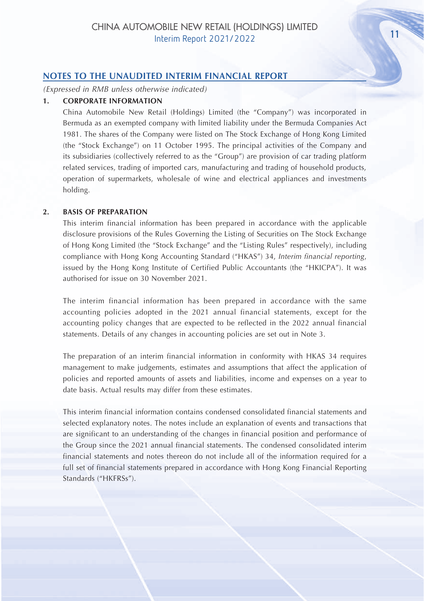#### **NOTES TO THE UNAUDITED INTERIM FINANCIAL REPORT**

*(Expressed in RMB unless otherwise indicated)*

#### **1. CORPORATE INFORMATION**

China Automobile New Retail (Holdings) Limited (the "Company") was incorporated in Bermuda as an exempted company with limited liability under the Bermuda Companies Act 1981. The shares of the Company were listed on The Stock Exchange of Hong Kong Limited (the "Stock Exchange") on 11 October 1995. The principal activities of the Company and its subsidiaries (collectively referred to as the "Group") are provision of car trading platform related services, trading of imported cars, manufacturing and trading of household products, operation of supermarkets, wholesale of wine and electrical appliances and investments holding.

#### **2. BASIS OF PREPARATION**

This interim financial information has been prepared in accordance with the applicable disclosure provisions of the Rules Governing the Listing of Securities on The Stock Exchange of Hong Kong Limited (the "Stock Exchange" and the "Listing Rules" respectively), including compliance with Hong Kong Accounting Standard ("HKAS") 34, *Interim financial reporting*, issued by the Hong Kong Institute of Certified Public Accountants (the "HKICPA"). It was authorised for issue on 30 November 2021.

The interim financial information has been prepared in accordance with the same accounting policies adopted in the 2021 annual financial statements, except for the accounting policy changes that are expected to be reflected in the 2022 annual financial statements. Details of any changes in accounting policies are set out in Note 3.

The preparation of an interim financial information in conformity with HKAS 34 requires management to make judgements, estimates and assumptions that affect the application of policies and reported amounts of assets and liabilities, income and expenses on a year to date basis. Actual results may differ from these estimates.

This interim financial information contains condensed consolidated financial statements and selected explanatory notes. The notes include an explanation of events and transactions that are significant to an understanding of the changes in financial position and performance of the Group since the 2021 annual financial statements. The condensed consolidated interim financial statements and notes thereon do not include all of the information required for a full set of financial statements prepared in accordance with Hong Kong Financial Reporting Standards ("HKFRSs").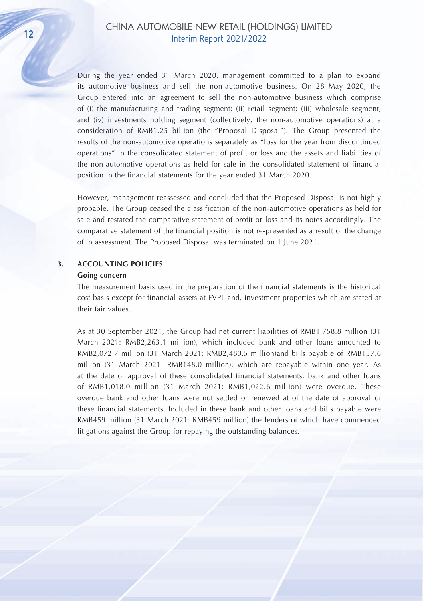During the year ended 31 March 2020, management committed to a plan to expand its automotive business and sell the non-automotive business. On 28 May 2020, the Group entered into an agreement to sell the non-automotive business which comprise of (i) the manufacturing and trading segment; (ii) retail segment; (iii) wholesale segment; and (iv) investments holding segment (collectively, the non-automotive operations) at a consideration of RMB1.25 billion (the "Proposal Disposal"). The Group presented the results of the non-automotive operations separately as "loss for the year from discontinued operations" in the consolidated statement of profit or loss and the assets and liabilities of the non-automotive operations as held for sale in the consolidated statement of financial position in the financial statements for the year ended 31 March 2020.

However, management reassessed and concluded that the Proposed Disposal is not highly probable. The Group ceased the classification of the non-automotive operations as held for sale and restated the comparative statement of profit or loss and its notes accordingly. The comparative statement of the financial position is not re-presented as a result of the change of in assessment. The Proposed Disposal was terminated on 1 June 2021.

#### **3. ACCOUNTING POLICIES**

#### **Going concern**

The measurement basis used in the preparation of the financial statements is the historical cost basis except for financial assets at FVPL and, investment properties which are stated at their fair values.

As at 30 September 2021, the Group had net current liabilities of RMB1,758.8 million (31 March 2021: RMB2,263.1 million), which included bank and other loans amounted to RMB2,072.7 million (31 March 2021: RMB2,480.5 million)and bills payable of RMB157.6 million (31 March 2021: RMB148.0 million), which are repayable within one year. As at the date of approval of these consolidated financial statements, bank and other loans of RMB1,018.0 million (31 March 2021: RMB1,022.6 million) were overdue. These overdue bank and other loans were not settled or renewed at of the date of approval of these financial statements. Included in these bank and other loans and bills payable were RMB459 million (31 March 2021: RMB459 million) the lenders of which have commenced litigations against the Group for repaying the outstanding balances.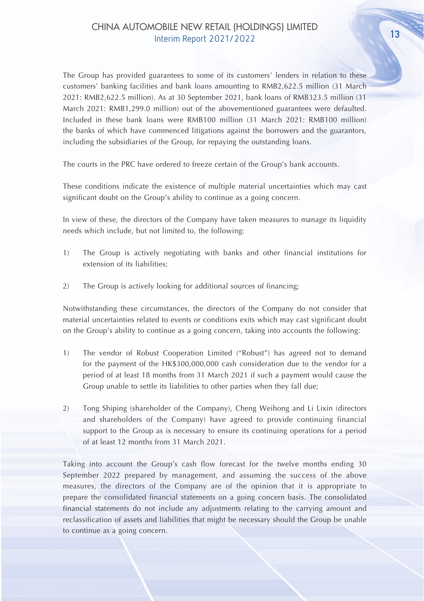The Group has provided guarantees to some of its customers' lenders in relation to these customers' banking facilities and bank loans amounting to RMB2,622.5 million (31 March 2021: RMB2,622.5 million). As at 30 September 2021, bank loans of RMB323.5 million (31 March 2021: RMB1,299.0 million) out of the abovementioned guarantees were defaulted. Included in these bank loans were RMB100 million (31 March 2021: RMB100 million) the banks of which have commenced litigations against the borrowers and the guarantors, including the subsidiaries of the Group, for repaying the outstanding loans.

The courts in the PRC have ordered to freeze certain of the Group's bank accounts.

These conditions indicate the existence of multiple material uncertainties which may cast significant doubt on the Group's ability to continue as a going concern.

In view of these, the directors of the Company have taken measures to manage its liquidity needs which include, but not limited to, the following:

- 1) The Group is actively negotiating with banks and other financial institutions for extension of its liabilities;
- 2) The Group is actively looking for additional sources of financing;

Notwithstanding these circumstances, the directors of the Company do not consider that material uncertainties related to events or conditions exits which may cast significant doubt on the Group's ability to continue as a going concern, taking into accounts the following:

- 1) The vendor of Robust Cooperation Limited ("Robust") has agreed not to demand for the payment of the HK\$300,000,000 cash consideration due to the vendor for a period of at least 18 months from 31 March 2021 if such a payment would cause the Group unable to settle its liabilities to other parties when they fall due;
- 2) Tong Shiping (shareholder of the Company), Cheng Weihong and Li Lixin (directors and shareholders of the Company) have agreed to provide continuing financial support to the Group as is necessary to ensure its continuing operations for a period of at least 12 months from 31 March 2021.

Taking into account the Group's cash flow forecast for the twelve months ending 30 September 2022 prepared by management, and assuming the success of the above measures, the directors of the Company are of the opinion that it is appropriate to prepare the consolidated financial statements on a going concern basis. The consolidated financial statements do not include any adjustments relating to the carrying amount and reclassification of assets and liabilities that might be necessary should the Group be unable to continue as a going concern.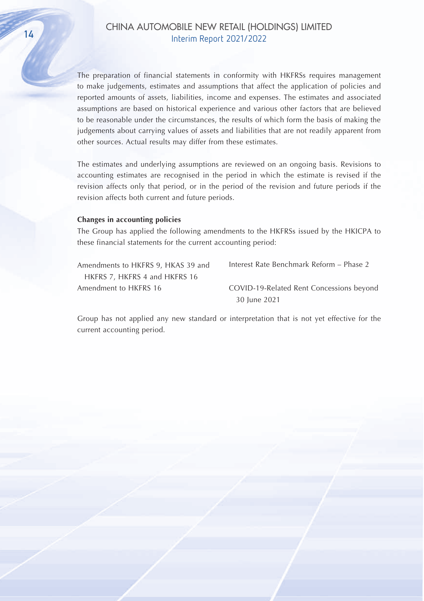The preparation of financial statements in conformity with HKFRSs requires management to make judgements, estimates and assumptions that affect the application of policies and reported amounts of assets, liabilities, income and expenses. The estimates and associated assumptions are based on historical experience and various other factors that are believed to be reasonable under the circumstances, the results of which form the basis of making the judgements about carrying values of assets and liabilities that are not readily apparent from other sources. Actual results may differ from these estimates.

The estimates and underlying assumptions are reviewed on an ongoing basis. Revisions to accounting estimates are recognised in the period in which the estimate is revised if the revision affects only that period, or in the period of the revision and future periods if the revision affects both current and future periods.

#### **Changes in accounting policies**

The Group has applied the following amendments to the HKFRSs issued by the HKICPA to these financial statements for the current accounting period:

| Amendments to HKFRS 9, HKAS 39 and |
|------------------------------------|
| HKFRS 7, HKFRS 4 and HKFRS 16      |
| Amendment to HKFRS 16              |

Interest Rate Benchmark Reform – Phase 2 COVID-19-Related Rent Concessions beyond 30 June 2021

Group has not applied any new standard or interpretation that is not yet effective for the current accounting period.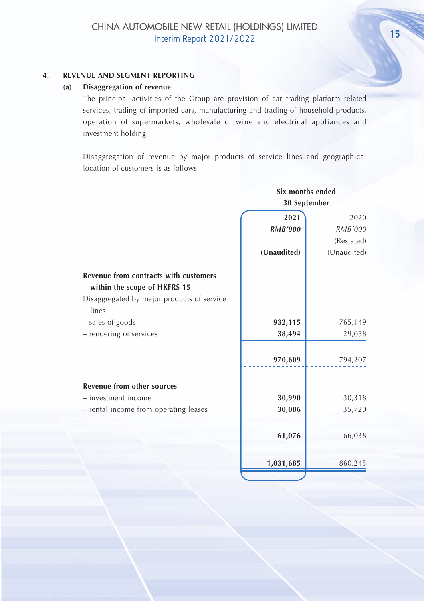## **4. REVENUE AND SEGMENT REPORTING**

#### **(a) Disaggregation of revenue**

The principal activities of the Group are provision of car trading platform related services, trading of imported cars, manufacturing and trading of household products, operation of supermarkets, wholesale of wine and electrical appliances and investment holding.

Disaggregation of revenue by major products of service lines and geographical location of customers is as follows:

|                                                     | Six months ended |             |  |
|-----------------------------------------------------|------------------|-------------|--|
|                                                     | 30 September     |             |  |
|                                                     | 2021             | 2020        |  |
|                                                     | <b>RMB'000</b>   | RMB'000     |  |
|                                                     |                  | (Restated)  |  |
|                                                     | (Unaudited)      | (Unaudited) |  |
| <b>Revenue from contracts with customers</b>        |                  |             |  |
| within the scope of HKFRS 15                        |                  |             |  |
| Disaggregated by major products of service<br>lines |                  |             |  |
| - sales of goods                                    | 932,115          | 765,149     |  |
| - rendering of services                             | 38,494           | 29,058      |  |
|                                                     | 970,609          | 794,207     |  |
| <b>Revenue from other sources</b>                   |                  |             |  |
| - investment income                                 | 30,990           | 30,318      |  |
| - rental income from operating leases               | 30,086           | 35,720      |  |
|                                                     | 61,076           | 66,038      |  |
|                                                     | 1,031,685        | 860,245     |  |
|                                                     |                  |             |  |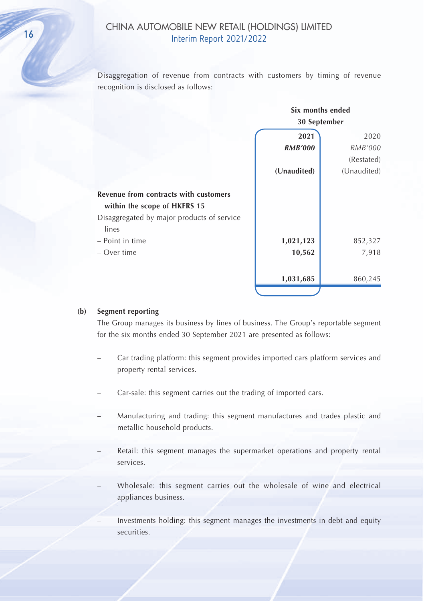Disaggregation of revenue from contracts with customers by timing of revenue recognition is disclosed as follows:

|                                            | Six months ended<br>30 September |             |  |
|--------------------------------------------|----------------------------------|-------------|--|
|                                            |                                  |             |  |
|                                            | 2021                             | 2020        |  |
|                                            | <b>RMB'000</b>                   | RMB'000     |  |
|                                            |                                  | (Restated)  |  |
|                                            | (Unaudited)                      | (Unaudited) |  |
| Revenue from contracts with customers      |                                  |             |  |
| within the scope of HKFRS 15               |                                  |             |  |
| Disaggregated by major products of service |                                  |             |  |
| lines                                      |                                  |             |  |
| - Point in time                            | 1,021,123                        | 852,327     |  |
| – Over time                                | 10,562                           | 7,918       |  |
|                                            |                                  |             |  |
|                                            | 1,031,685                        | 860,245     |  |
|                                            |                                  |             |  |

#### **(b) Segment reporting**

The Group manages its business by lines of business. The Group's reportable segment for the six months ended 30 September 2021 are presented as follows:

- Car trading platform: this segment provides imported cars platform services and property rental services.
- Car-sale: this segment carries out the trading of imported cars.
- Manufacturing and trading: this segment manufactures and trades plastic and metallic household products.
- Retail: this segment manages the supermarket operations and property rental services.
- Wholesale: this segment carries out the wholesale of wine and electrical appliances business.

– Investments holding: this segment manages the investments in debt and equity securities.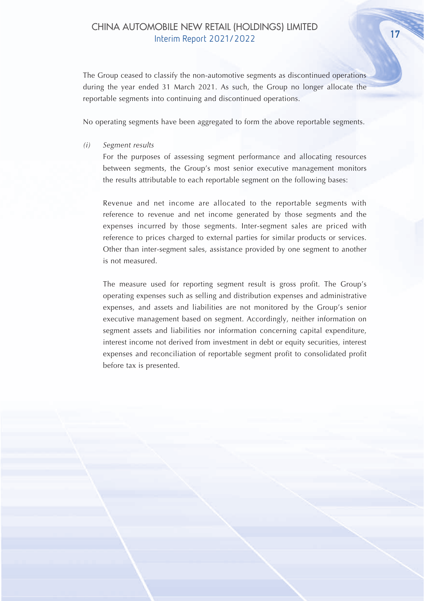The Group ceased to classify the non-automotive segments as discontinued operations during the year ended 31 March 2021. As such, the Group no longer allocate the reportable segments into continuing and discontinued operations.

No operating segments have been aggregated to form the above reportable segments.

*(i) Segment results*

For the purposes of assessing segment performance and allocating resources between segments, the Group's most senior executive management monitors the results attributable to each reportable segment on the following bases:

Revenue and net income are allocated to the reportable segments with reference to revenue and net income generated by those segments and the expenses incurred by those segments. Inter-segment sales are priced with reference to prices charged to external parties for similar products or services. Other than inter-segment sales, assistance provided by one segment to another is not measured.

The measure used for reporting segment result is gross profit. The Group's operating expenses such as selling and distribution expenses and administrative expenses, and assets and liabilities are not monitored by the Group's senior executive management based on segment. Accordingly, neither information on segment assets and liabilities nor information concerning capital expenditure, interest income not derived from investment in debt or equity securities, interest expenses and reconciliation of reportable segment profit to consolidated profit before tax is presented.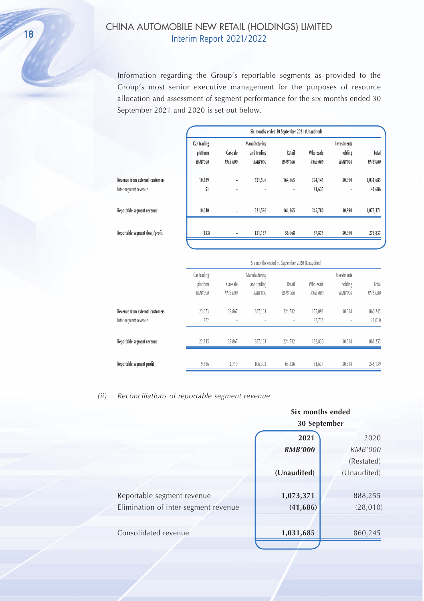Information regarding the Group's reportable segments as provided to the Group's most senior executive management for the purposes of resource allocation and assessment of segment performance for the six months ended 30 September 2021 and 2020 is set out below.

|                                                          |                                           |                            |                                                | Six months ended 30 September 2021 (Unaudited) |                             |                                          |                         |
|----------------------------------------------------------|-------------------------------------------|----------------------------|------------------------------------------------|------------------------------------------------|-----------------------------|------------------------------------------|-------------------------|
|                                                          | Car trading<br>platform<br><b>RMB'000</b> | Car-sale<br><b>RMB'000</b> | Manufacturing<br>and trading<br><b>RMB'000</b> | Retail<br><b>RMB'000</b>                       | Wholesale<br><b>RMB'000</b> | Investments<br>holding<br><b>RMB'000</b> | Total<br><b>RMB'000</b> |
| Revenue from external customers<br>Inter-segment revenue | 10,589<br>51                              |                            | 521,596                                        | 164,365                                        | 304,145<br>41,635           | 30,990<br>٠                              | 1,031,685<br>41,686     |
| Reportable segment revenue                               | 10,640                                    |                            | 521,596                                        | 164,365                                        | 345,780                     | 30,990                                   | 1,073,371               |
| Reportable segment (loss)/profit                         | (153)                                     |                            | 131,157                                        | 56,968                                         | 57,875                      | 30,990                                   | 276,837                 |
|                                                          |                                           |                            |                                                | Six months ended 30 September 2020 (Unaudited) |                             |                                          |                         |
|                                                          | Car trading<br>platform<br>RMB'000        | Car-sale<br><b>RMB'000</b> | Manufacturing<br>and trading<br>RMB'000        | Retail<br>RMB'000                              | Wholesale<br>RMB'000        | Investments<br>holding<br>RMB'000        | Total<br>RMB'000        |
| Revenue from external customers<br>Inter-segment revenue | 23,073<br>272                             | 39,867                     | 387,163                                        | 224,732                                        | 155,092<br>27,738           | 30,318                                   | 860,245<br>28,010       |

**Reportable segment revenue** 23,345 39,867 387,163 224,732 182,830 30,318 888,255

**Reportable segment profit** 9,696 2,719 106,393 65,336 31,677 30,318 246,139

| (ii) |  | Reconciliations of reportable segment revenue |  |
|------|--|-----------------------------------------------|--|

|                                      | Six months ended<br>30 September |                |  |
|--------------------------------------|----------------------------------|----------------|--|
|                                      |                                  |                |  |
|                                      | 2021                             | 2020           |  |
|                                      | <b>RMB'000</b>                   | <b>RMB'000</b> |  |
|                                      |                                  | (Restated)     |  |
|                                      | (Unaudited)                      | (Unaudited)    |  |
|                                      |                                  |                |  |
| Reportable segment revenue           | 1,073,371                        | 888,255        |  |
| Elimination of inter-segment revenue | (41, 686)                        | (28, 010)      |  |
|                                      |                                  |                |  |
| Consolidated revenue                 | 1,031,685                        | 860,245        |  |
|                                      |                                  |                |  |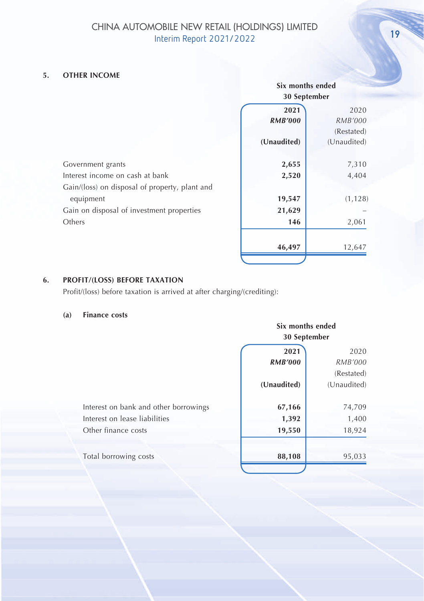## CHINA AUTOMOBILE NEW RETAIL (HOLDINGS) LIMITED INTERNATIONAL INCLUDINGS DIMITED

## **5. OTHER INCOME**

|                                                |                | Six months ended |  |
|------------------------------------------------|----------------|------------------|--|
|                                                |                | 30 September     |  |
|                                                | 2021           | 2020             |  |
|                                                | <b>RMB'000</b> | <i>RMB'000</i>   |  |
|                                                |                | (Restated)       |  |
|                                                | (Unaudited)    | (Unaudited)      |  |
| Government grants                              | 2,655          | 7,310            |  |
| Interest income on cash at bank                | 2,520          | 4,404            |  |
| Gain/(loss) on disposal of property, plant and |                |                  |  |
| equipment                                      | 19,547         | (1, 128)         |  |
| Gain on disposal of investment properties      | 21,629         |                  |  |
| Others                                         | 146            | 2,061            |  |
|                                                |                |                  |  |
|                                                | 46,497         | 12,647           |  |

## **6. PROFIT/(LOSS) BEFORE TAXATION**

Profit/(loss) before taxation is arrived at after charging/(crediting):

#### **(a) Finance costs**

|                                       | Six months ended<br>30 September |             |  |
|---------------------------------------|----------------------------------|-------------|--|
|                                       |                                  |             |  |
|                                       | 2021                             | 2020        |  |
|                                       | <b>RMB'000</b>                   | RMB'000     |  |
|                                       |                                  | (Restated)  |  |
|                                       | (Unaudited)                      | (Unaudited) |  |
| Interest on bank and other borrowings | 67,166                           | 74,709      |  |
| Interest on lease liabilities         | 1,392                            | 1,400       |  |
| Other finance costs                   | 19,550                           | 18,924      |  |
| Total borrowing costs                 | 88,108                           | 95,033      |  |
|                                       |                                  |             |  |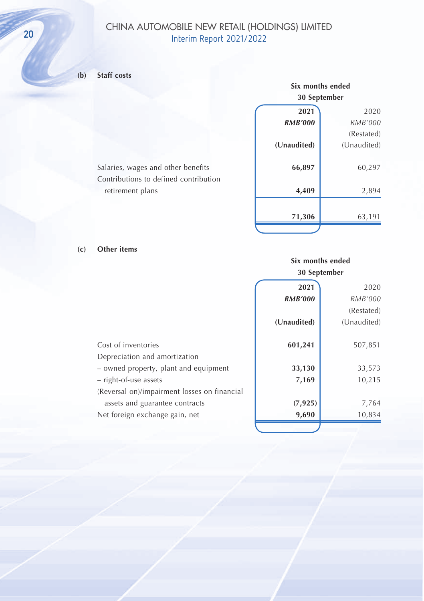## CHINA AUTOMOBILE NEW RETAIL (HOLDINGS) LIMITED 20 CHINA AUTOMOBILE NEW KETAIL (HOLD

## **(b) Staff costs**

| Six months ended |                |  |  |
|------------------|----------------|--|--|
| 30 September     |                |  |  |
| 2021             | 2020           |  |  |
| <b>RMB'000</b>   | <b>RMB'000</b> |  |  |
|                  | (Restated)     |  |  |
| (Unaudited)      | (Unaudited)    |  |  |
|                  |                |  |  |
| 66,897           | 60,297         |  |  |
|                  |                |  |  |
| 4,409            | 2,894          |  |  |
|                  |                |  |  |
| 71,306           | 63,191         |  |  |
|                  |                |  |  |

**(c) Other items**

Salaries, wages and other benefits Contributions to defined contribution

retirement plans

## **Six months ended 30 September**

|                                              | 2021           | 2020        |
|----------------------------------------------|----------------|-------------|
|                                              | <b>RMB'000</b> | RMB'000     |
|                                              |                | (Restated)  |
|                                              | (Unaudited)    | (Unaudited) |
| Cost of inventories                          | 601,241        | 507,851     |
| Depreciation and amortization                |                |             |
| - owned property, plant and equipment        | 33,130         | 33,573      |
| - right-of-use assets                        | 7,169          | 10,215      |
| (Reversal on)/impairment losses on financial |                |             |
| assets and guarantee contracts               | (7, 925)       | 7,764       |
| Net foreign exchange gain, net               | 9,690          | 10,834      |
|                                              |                |             |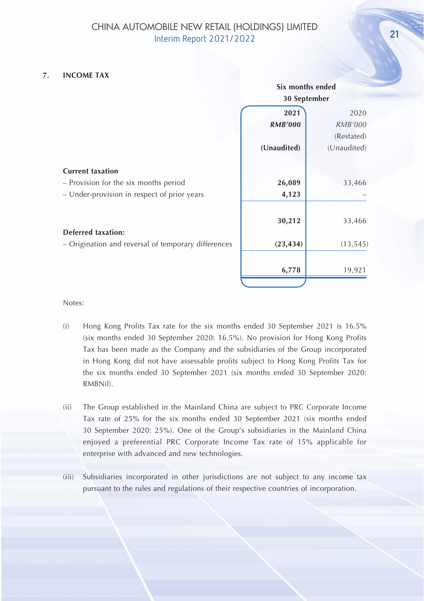#### **7. INCOME TAX**

|                                                     | Six months ended |                |  |
|-----------------------------------------------------|------------------|----------------|--|
|                                                     | 30 September     |                |  |
|                                                     | 2021             | 2020           |  |
|                                                     | <b>RMB'000</b>   | <b>RMB'000</b> |  |
|                                                     |                  | (Restated)     |  |
|                                                     | (Unaudited)      | (Unaudited)    |  |
| <b>Current taxation</b>                             |                  |                |  |
| - Provision for the six months period               | 26,089           | 33,466         |  |
| - Under-provision in respect of prior years         | 4,123            |                |  |
|                                                     |                  |                |  |
|                                                     | 30,212           | 33,466         |  |
| <b>Deferred taxation:</b>                           |                  |                |  |
| - Origination and reversal of temporary differences | (23, 434)        | (13, 545)      |  |
|                                                     |                  |                |  |
|                                                     | 6,778            | 19,921         |  |
|                                                     |                  |                |  |

#### Notes:

- (i) Hong Kong Profits Tax rate for the six months ended 30 September 2021 is 16.5% (six months ended 30 September 2020: 16.5%). No provision for Hong Kong Profits Tax has been made as the Company and the subsidiaries of the Group incorporated in Hong Kong did not have assessable profits subject to Hong Kong Profits Tax for the six months ended 30 September 2021 (six months ended 30 September 2020: RMBNil).
- (ii) The Group established in the Mainland China are subject to PRC Corporate Income Tax rate of 25% for the six months ended 30 September 2021 (six months ended 30 September 2020: 25%). One of the Group's subsidiaries in the Mainland China enjoyed a preferential PRC Corporate Income Tax rate of 15% applicable for enterprise with advanced and new technologies.
- (iii) Subsidiaries incorporated in other jurisdictions are not subject to any income tax pursuant to the rules and regulations of their respective countries of incorporation.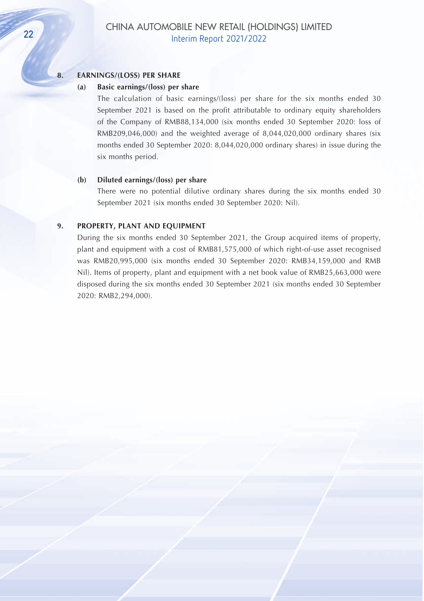#### **8. EARNINGS/(LOSS) PER SHARE**

#### **(a) Basic earnings/(loss) per share**

The calculation of basic earnings/(loss) per share for the six months ended 30 September 2021 is based on the profit attributable to ordinary equity shareholders of the Company of RMB88,134,000 (six months ended 30 September 2020: loss of RMB209,046,000) and the weighted average of 8,044,020,000 ordinary shares (six months ended 30 September 2020: 8,044,020,000 ordinary shares) in issue during the six months period.

#### **(b) Diluted earnings/(loss) per share**

There were no potential dilutive ordinary shares during the six months ended 30 September 2021 (six months ended 30 September 2020: Nil).

#### **9. PROPERTY, PLANT AND EQUIPMENT**

During the six months ended 30 September 2021, the Group acquired items of property, plant and equipment with a cost of RMB81,575,000 of which right-of-use asset recognised was RMB20,995,000 (six months ended 30 September 2020: RMB34,159,000 and RMB Nil). Items of property, plant and equipment with a net book value of RMB25,663,000 were disposed during the six months ended 30 September 2021 (six months ended 30 September 2020: RMB2,294,000).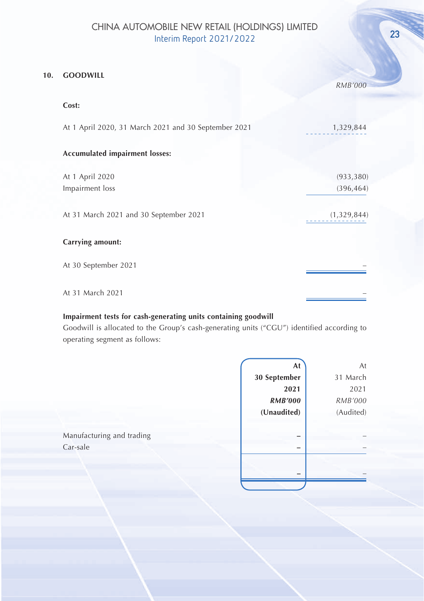#### **10. GOODWILL**

|                                                      | <b>RMB'000</b> |
|------------------------------------------------------|----------------|
| Cost:                                                |                |
| At 1 April 2020, 31 March 2021 and 30 September 2021 | 1,329,844      |
| Accumulated impairment losses:                       |                |
| At 1 April 2020                                      | (933, 380)     |
| Impairment loss                                      | (396, 464)     |
| At 31 March 2021 and 30 September 2021               | (1,329,844)    |
| Carrying amount:                                     |                |
| At 30 September 2021                                 |                |
| At 31 March 2021                                     |                |

## **Impairment tests for cash-generating units containing goodwill**

Goodwill is allocated to the Group's cash-generating units ("CGU") identified according to operating segment as follows:

|                                       | At             | At        |
|---------------------------------------|----------------|-----------|
|                                       | 30 September   | 31 March  |
|                                       | 2021           | 2021      |
|                                       | <b>RMB'000</b> | RMB'000   |
|                                       | (Unaudited)    | (Audited) |
| Manufacturing and trading<br>Car-sale |                |           |
|                                       |                |           |
|                                       |                |           |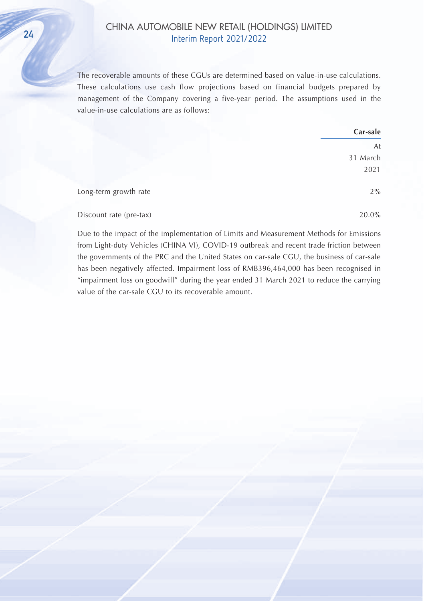## CHINA AUTOMOBILE NEW RETAIL (HOLDINGS) LIMITED 24

The recoverable amounts of these CGUs are determined based on value-in-use calculations. These calculations use cash flow projections based on financial budgets prepared by management of the Company covering a five-year period. The assumptions used in the value-in-use calculations are as follows:

|                         | Car-sale |
|-------------------------|----------|
|                         | At       |
|                         | 31 March |
|                         | 2021     |
| Long-term growth rate   | 2%       |
| Discount rate (pre-tax) | 20.0%    |

Due to the impact of the implementation of Limits and Measurement Methods for Emissions from Light-duty Vehicles (CHINA VI), COVID-19 outbreak and recent trade friction between the governments of the PRC and the United States on car-sale CGU, the business of car-sale has been negatively affected. Impairment loss of RMB396,464,000 has been recognised in "impairment loss on goodwill" during the year ended 31 March 2021 to reduce the carrying value of the car-sale CGU to its recoverable amount.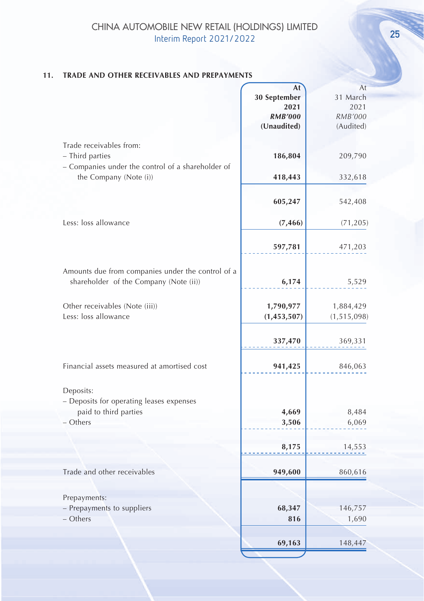## **11. TRADE AND OTHER RECEIVABLES AND PREPAYMENTS**

|                                                   | At             | At            |
|---------------------------------------------------|----------------|---------------|
|                                                   | 30 September   | 31 March      |
|                                                   | 2021           | 2021          |
|                                                   | <b>RMB'000</b> | RMB'000       |
|                                                   |                |               |
|                                                   | (Unaudited)    | (Audited)     |
| Trade receivables from:                           |                |               |
| - Third parties                                   | 186,804        | 209,790       |
| - Companies under the control of a shareholder of |                |               |
| the Company (Note (i))                            | 418,443        | 332,618       |
|                                                   |                |               |
|                                                   |                |               |
|                                                   | 605,247        | 542,408       |
|                                                   |                |               |
| Less: loss allowance                              | (7, 466)       | (71, 205)     |
|                                                   |                |               |
|                                                   |                |               |
|                                                   | 597,781        | 471,203       |
|                                                   |                |               |
| Amounts due from companies under the control of a |                |               |
| shareholder of the Company (Note (ii))            | 6,174          | 5,529         |
|                                                   |                |               |
| Other receivables (Note (iii))                    | 1,790,977      | 1,884,429     |
| Less: loss allowance                              |                |               |
|                                                   | (1,453,507)    | (1, 515, 098) |
|                                                   |                |               |
|                                                   | 337,470        | 369,331       |
|                                                   |                |               |
| Financial assets measured at amortised cost       | 941,425        | 846,063       |
|                                                   |                |               |
|                                                   |                |               |
| Deposits:                                         |                |               |
| - Deposits for operating leases expenses          |                |               |
| paid to third parties                             | 4,669          | 8,484         |
| - Others                                          | 3,506          | 6,069         |
|                                                   |                |               |
|                                                   |                |               |
|                                                   | 8,175          | 14,553        |
|                                                   |                |               |
| Trade and other receivables                       | 949,600        | 860,616       |
|                                                   |                |               |
|                                                   |                |               |
| Prepayments:                                      |                |               |
| - Prepayments to suppliers                        | 68,347         | 146,757       |
| - Others                                          | 816            | 1,690         |
|                                                   |                |               |
|                                                   |                |               |
|                                                   | 69,163         | 148,447       |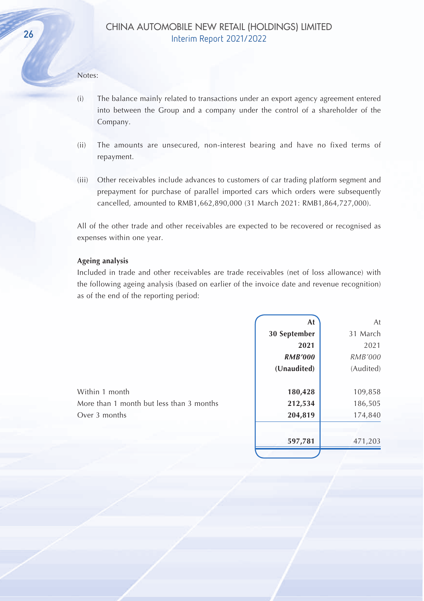#### Notes:

- (i) The balance mainly related to transactions under an export agency agreement entered into between the Group and a company under the control of a shareholder of the Company.
- (ii) The amounts are unsecured, non-interest bearing and have no fixed terms of repayment.
- (iii) Other receivables include advances to customers of car trading platform segment and prepayment for purchase of parallel imported cars which orders were subsequently cancelled, amounted to RMB1,662,890,000 (31 March 2021: RMB1,864,727,000).

All of the other trade and other receivables are expected to be recovered or recognised as expenses within one year.

#### **Ageing analysis**

Included in trade and other receivables are trade receivables (net of loss allowance) with the following ageing analysis (based on earlier of the invoice date and revenue recognition) as of the end of the reporting period:

| At             | At        |
|----------------|-----------|
| 30 September   | 31 March  |
| 2021           | 2021      |
| <b>RMB'000</b> | RMB'000   |
| (Unaudited)    | (Audited) |
|                |           |
| 180,428        | 109,858   |
| 212,534        | 186,505   |
| 204,819        | 174,840   |
| 597,781        | 471,203   |
|                |           |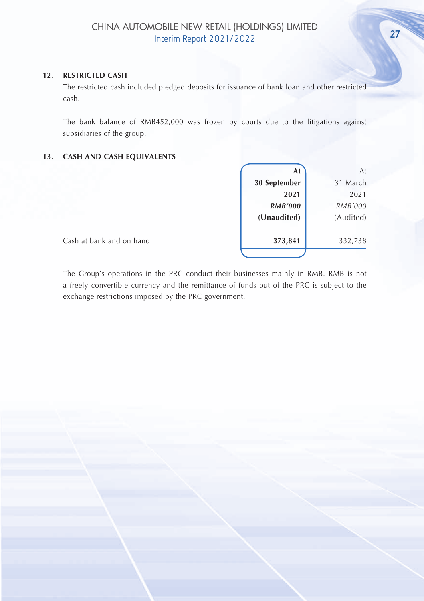### **12. RESTRICTED CASH**

The restricted cash included pledged deposits for issuance of bank loan and other restricted cash.

The bank balance of RMB452,000 was frozen by courts due to the litigations against subsidiaries of the group.

#### **13. CASH AND CASH EQUIVALENTS**

| At             | At             |
|----------------|----------------|
| 30 September   | 31 March       |
| 2021           | 2021           |
| <b>RMB'000</b> | <b>RMB'000</b> |
| (Unaudited)    | (Audited)      |
|                |                |
| 373,841        | 332,738        |
|                |                |

Cash at bank and on hand

The Group's operations in the PRC conduct their businesses mainly in RMB. RMB is not a freely convertible currency and the remittance of funds out of the PRC is subject to the exchange restrictions imposed by the PRC government.

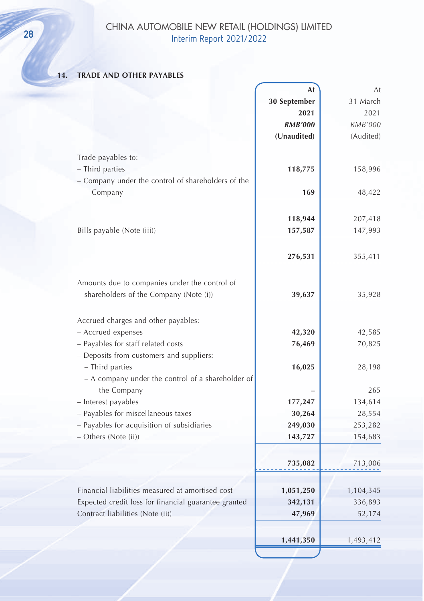## CHINA AUTOMOBILE NEW RETAIL (HOLDINGS) LIMITED **28** CHINA AUTOMOBILE NEW RETAIL (HOLL<br>Interim Report 2021/2022

## **14. TRADE AND OTHER PAYABLES**

|                                                           | At                | At                |
|-----------------------------------------------------------|-------------------|-------------------|
|                                                           | 30 September      | 31 March          |
|                                                           | 2021              | 2021              |
|                                                           | <b>RMB'000</b>    | RMB'000           |
|                                                           | (Unaudited)       | (Audited)         |
|                                                           |                   |                   |
| Trade payables to:                                        |                   |                   |
| - Third parties                                           | 118,775           | 158,996           |
| - Company under the control of shareholders of the        |                   |                   |
| Company                                                   | 169               | 48,422            |
|                                                           |                   |                   |
|                                                           | 118,944           | 207,418           |
| Bills payable (Note (iii))                                | 157,587           | 147,993           |
|                                                           |                   |                   |
|                                                           | 276,531           | 355,411           |
|                                                           |                   |                   |
| Amounts due to companies under the control of             |                   |                   |
| shareholders of the Company (Note (i))                    | 39,637            | 35,928            |
|                                                           |                   |                   |
|                                                           |                   |                   |
| Accrued charges and other payables:                       |                   |                   |
| - Accrued expenses                                        | 42,320            | 42,585            |
| - Payables for staff related costs                        | 76,469            | 70,825            |
| - Deposits from customers and suppliers:                  |                   |                   |
| - Third parties                                           | 16,025            | 28,198            |
| - A company under the control of a shareholder of         |                   |                   |
| the Company                                               |                   | 265               |
| - Interest payables<br>- Payables for miscellaneous taxes | 177,247           | 134,614           |
| - Payables for acquisition of subsidiaries                | 30,264<br>249,030 | 28,554<br>253,282 |
| - Others (Note (ii))                                      | 143,727           | 154,683           |
|                                                           |                   |                   |
|                                                           |                   |                   |
|                                                           | 735,082           | 713,006           |
|                                                           |                   |                   |
| Financial liabilities measured at amortised cost          | 1,051,250         | 1,104,345         |
| Expected credit loss for financial guarantee granted      | 342,131           | 336,893           |
| Contract liabilities (Note (ii))                          | 47,969            | 52,174            |
|                                                           |                   |                   |
|                                                           | 1,441,350         | 1,493,412         |
|                                                           |                   |                   |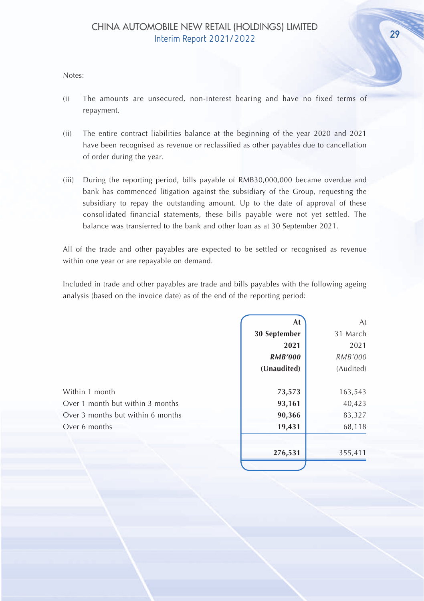#### Notes:

- (i) The amounts are unsecured, non-interest bearing and have no fixed terms of repayment.
- (ii) The entire contract liabilities balance at the beginning of the year 2020 and 2021 have been recognised as revenue or reclassified as other payables due to cancellation of order during the year.
- (iii) During the reporting period, bills payable of RMB30,000,000 became overdue and bank has commenced litigation against the subsidiary of the Group, requesting the subsidiary to repay the outstanding amount. Up to the date of approval of these consolidated financial statements, these bills payable were not yet settled. The balance was transferred to the bank and other loan as at 30 September 2021.

All of the trade and other payables are expected to be settled or recognised as revenue within one year or are repayable on demand.

Included in trade and other payables are trade and bills payables with the following ageing analysis (based on the invoice date) as of the end of the reporting period:

|                                   | At             | At        |
|-----------------------------------|----------------|-----------|
|                                   | 30 September   | 31 March  |
|                                   | 2021           | 2021      |
|                                   | <b>RMB'000</b> | RMB'000   |
|                                   | (Unaudited)    | (Audited) |
| Within 1 month                    | 73,573         | 163,543   |
| Over 1 month but within 3 months  | 93,161         | 40,423    |
| Over 3 months but within 6 months | 90,366         | 83,327    |
| Over 6 months                     | 19,431         | 68,118    |
|                                   | 276,531        | 355,411   |
|                                   |                |           |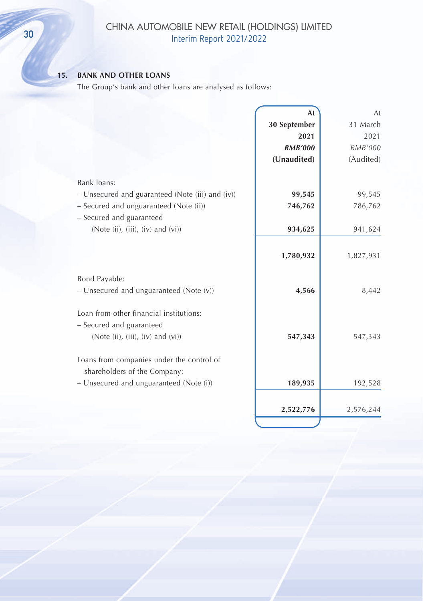## CHINA AUTOMOBILE NEW RETAIL (HOLDINGS) LIMITED **CHINA AUTOMOBILE NEW KETAIL (HOLL**<br>Interim Report 2021/2022

## **15. BANK AND OTHER LOANS**

The Group's bank and other loans are analysed as follows:

|                                                  | At             | At             |
|--------------------------------------------------|----------------|----------------|
|                                                  | 30 September   | 31 March       |
|                                                  | 2021           | 2021           |
|                                                  | <b>RMB'000</b> | <b>RMB'000</b> |
|                                                  | (Unaudited)    | (Audited)      |
| Bank loans:                                      |                |                |
| - Unsecured and guaranteed (Note (iii) and (iv)) | 99,545         | 99,545         |
| - Secured and unguaranteed (Note (ii))           | 746,762        | 786,762        |
| - Secured and guaranteed                         |                |                |
| (Note (ii), (iii), (iv) and (vi))                | 934,625        | 941,624        |
|                                                  |                |                |
|                                                  | 1,780,932      | 1,827,931      |
|                                                  |                |                |
| Bond Payable:                                    |                |                |
| - Unsecured and unguaranteed (Note (v))          | 4,566          | 8,442          |
| Loan from other financial institutions:          |                |                |
| - Secured and guaranteed                         |                |                |
| (Note $(ii)$ , $(iii)$ , $(iv)$ and $(vi)$ )     | 547,343        | 547,343        |
|                                                  |                |                |
| Loans from companies under the control of        |                |                |
| shareholders of the Company:                     |                |                |
| - Unsecured and unguaranteed (Note (i))          | 189,935        | 192,528        |
|                                                  |                |                |
|                                                  | 2,522,776      | 2,576,244      |
|                                                  |                |                |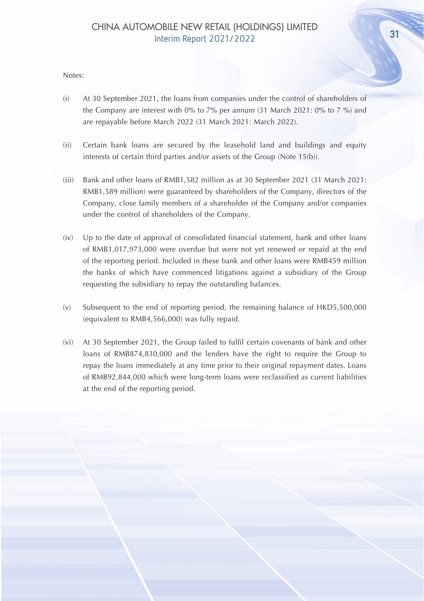#### Notes:

- (i) At 30 September 2021, the loans from companies under the control of shareholders of the Company are interest with 0% to 7% per annum  $(31$  March 2021: 0% to 7 %) and are repayable before March 2022 (31 March 2021: March 2022).
- (ii) Certain bank loans are secured by the leasehold land and buildings and equity interests of certain third parties and/or assets of the Group (Note 15(b)).
- (iii) Bank and other loans of RMB1,582 million as at 30 September 2021 (31 March 2021: RMB1,589 million) were guaranteed by shareholders of the Company, directors of the Company, close family members of a shareholder of the Company and/or companies under the control of shareholders of the Company.
- (iv) Up to the date of approval of consolidated financial statement, bank and other loans of RMB1,017,973,000 were overdue but were not yet renewed or repaid at the end of the reporting period. Included in these bank and other loans were RMB459 million the banks of which have commenced litigations against a subsidiary of the Group requesting the subsidiary to repay the outstanding balances.
- (v) Subsequent to the end of reporting period, the remaining balance of HKD5,500,000 (equivalent to RMB4,566,000) was fully repaid.
- (vi) At 30 September 2021, the Group failed to fulfil certain covenants of bank and other loans of RMB874,830,000 and the lenders have the right to require the Group to repay the loans immediately at any time prior to their original repayment dates. Loans of RMB92,844,000 which were long-term loans were reclassified as current liabilities at the end of the reporting period.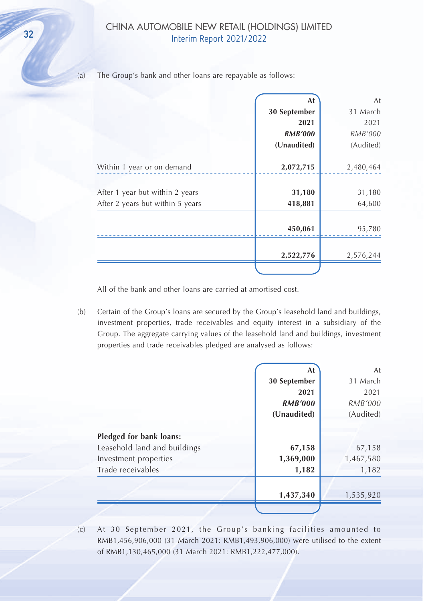## CHINA AUTOMOBILE NEW RETAIL (HOLDINGS) LIMITED Solution According to the William Report 2021/2022

(a) The Group's bank and other loans are repayable as follows:

|                                  | At             | At        |
|----------------------------------|----------------|-----------|
|                                  | 30 September   | 31 March  |
|                                  | 2021           | 2021      |
|                                  | <b>RMB'000</b> | RMB'000   |
|                                  | (Unaudited)    | (Audited) |
| Within 1 year or on demand       | 2,072,715      | 2,480,464 |
| After 1 year but within 2 years  | 31,180         | 31,180    |
| After 2 years but within 5 years | 418,881        | 64,600    |
|                                  |                |           |
|                                  | 450,061        | 95,780    |
|                                  |                |           |
|                                  | 2,522,776      | 2,576,244 |

All of the bank and other loans are carried at amortised cost.

(b) Certain of the Group's loans are secured by the Group's leasehold land and buildings, investment properties, trade receivables and equity interest in a subsidiary of the Group. The aggregate carrying values of the leasehold land and buildings, investment properties and trade receivables pledged are analysed as follows:

|                                                         | 1,437,340      | 1,535,920      |
|---------------------------------------------------------|----------------|----------------|
| Trade receivables                                       | 1,182          | 1,182          |
| Investment properties                                   | 1,369,000      | 1,467,580      |
| Pledged for bank loans:<br>Leasehold land and buildings | 67,158         | 67,158         |
|                                                         | (Unaudited)    | (Audited)      |
|                                                         | <b>RMB'000</b> | <i>RMB'000</i> |
|                                                         | 2021           | 2021           |
|                                                         | 30 September   | 31 March       |
|                                                         | At             | At             |

<sup>(</sup>c) At 30 September 2021, the Group's banking facilities amounted to RMB1,456,906,000 (31 March 2021: RMB1,493,906,000) were utilised to the extent of RMB1,130,465,000 (31 March 2021: RMB1,222,477,000).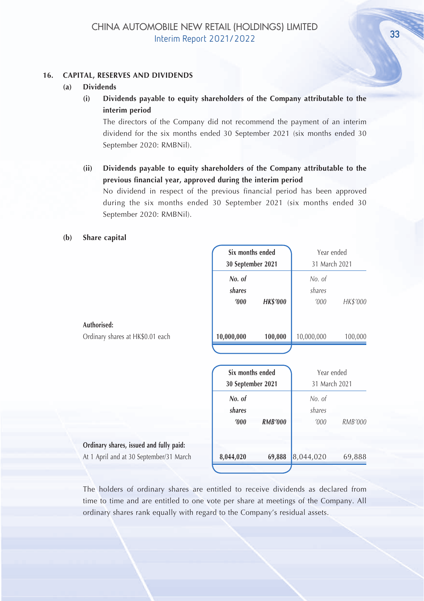#### **16. CAPITAL, RESERVES AND DIVIDENDS**

- **(a) Dividends**
	- **(i) Dividends payable to equity shareholders of the Company attributable to the interim period**

The directors of the Company did not recommend the payment of an interim dividend for the six months ended 30 September 2021 (six months ended 30 September 2020: RMBNil).

**(ii) Dividends payable to equity shareholders of the Company attributable to the previous financial year, approved during the interim period**

No dividend in respect of the previous financial period has been approved during the six months ended 30 September 2021 (six months ended 30 September 2020: RMBNil).

#### **(b) Share capital**

|                                         | Six months ended                      |                 | Year ended                  |          |
|-----------------------------------------|---------------------------------------|-----------------|-----------------------------|----------|
|                                         | 30 September 2021                     |                 | 31 March 2021               |          |
|                                         | No. of                                |                 | No. of                      |          |
|                                         | shares                                |                 | shares                      |          |
|                                         | '000                                  | <b>HK\$'000</b> | '000                        | HK\$'000 |
| Authorised:                             |                                       |                 |                             |          |
| Ordinary shares at HK\$0.01 each        | 10,000,000                            | 100,000         | 10,000,000                  | 100,000  |
|                                         | Six months ended<br>30 September 2021 |                 | Year ended<br>31 March 2021 |          |
|                                         | No. of                                |                 | No. of                      |          |
|                                         | shares                                |                 | shares                      |          |
|                                         | '000                                  | <b>RMB'000</b>  | '000                        | RMB'000  |
| Ordinary shares, issued and fully paid: |                                       |                 |                             |          |
| At 1 April and at 30 September/31 March | 8,044,020                             | 69,888          | 8,044,020                   | 69,888   |
|                                         |                                       |                 |                             |          |

The holders of ordinary shares are entitled to receive dividends as declared from time to time and are entitled to one vote per share at meetings of the Company. All ordinary shares rank equally with regard to the Company's residual assets.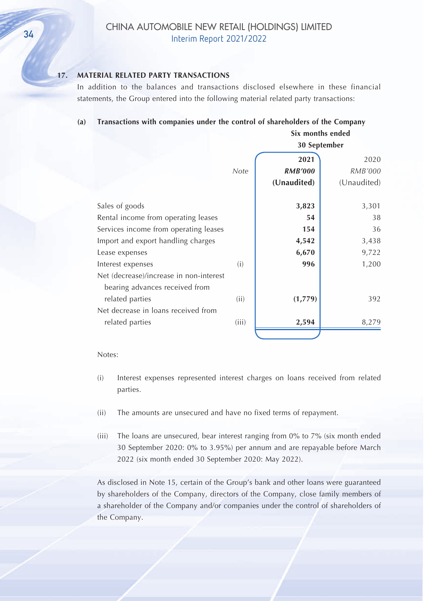## **17. MATERIAL RELATED PARTY TRANSACTIONS**

In addition to the balances and transactions disclosed elsewhere in these financial statements, the Group entered into the following material related party transactions:

#### **(a) Transactions with companies under the control of shareholders of the Company**

|                                                                           |       | Six months ended |              |
|---------------------------------------------------------------------------|-------|------------------|--------------|
|                                                                           |       |                  | 30 September |
|                                                                           |       | 2021             | 2020         |
|                                                                           | Note  | <b>RMB'000</b>   | RMB'000      |
|                                                                           |       | (Unaudited)      | (Unaudited)  |
| Sales of goods                                                            |       | 3,823            | 3,301        |
| Rental income from operating leases                                       |       | 54               | 38           |
| Services income from operating leases                                     |       | 154              | 36           |
| Import and export handling charges                                        |       | 4,542            | 3,438        |
| Lease expenses                                                            |       | 6,670            | 9,722        |
| Interest expenses                                                         | (i)   | 996              | 1,200        |
| Net (decrease)/increase in non-interest<br>bearing advances received from |       |                  |              |
| related parties                                                           | (ii)  | (1,779)          | 392          |
| Net decrease in loans received from                                       |       |                  |              |
| related parties                                                           | (iii) | 2,594            | 8.279        |
|                                                                           |       |                  |              |

#### Notes:

- (i) Interest expenses represented interest charges on loans received from related parties.
- (ii) The amounts are unsecured and have no fixed terms of repayment.
- (iii) The loans are unsecured, bear interest ranging from 0% to 7% (six month ended 30 September 2020: 0% to 3.95%) per annum and are repayable before March 2022 (six month ended 30 September 2020: May 2022).

As disclosed in Note 15, certain of the Group's bank and other loans were guaranteed by shareholders of the Company, directors of the Company, close family members of a shareholder of the Company and/or companies under the control of shareholders of the Company.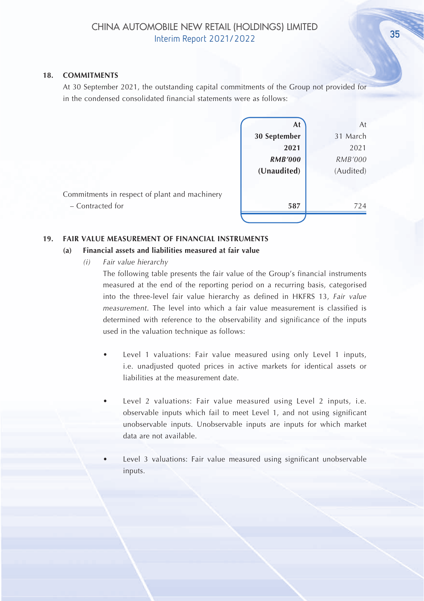#### **18. COMMITMENTS**

At 30 September 2021, the outstanding capital commitments of the Group not provided for in the condensed consolidated financial statements were as follows:

|                                                                   | At             | At        |
|-------------------------------------------------------------------|----------------|-----------|
|                                                                   | 30 September   | 31 March  |
|                                                                   | 2021           | 2021      |
|                                                                   | <b>RMB'000</b> | RMB'000   |
|                                                                   | (Unaudited)    | (Audited) |
| Commitments in respect of plant and machinery<br>- Contracted for | 587            | 724       |
|                                                                   |                |           |

#### **19. FAIR VALUE MEASUREMENT OF FINANCIAL INSTRUMENTS**

#### **(a) Financial assets and liabilities measured at fair value**

*(i) Fair value hierarchy*

The following table presents the fair value of the Group's financial instruments measured at the end of the reporting period on a recurring basis, categorised into the three-level fair value hierarchy as defined in HKFRS 13, *Fair value measurement*. The level into which a fair value measurement is classified is determined with reference to the observability and significance of the inputs used in the valuation technique as follows:

- Level 1 valuations: Fair value measured using only Level 1 inputs, i.e. unadjusted quoted prices in active markets for identical assets or liabilities at the measurement date.
- Level 2 valuations: Fair value measured using Level 2 inputs, i.e. observable inputs which fail to meet Level 1, and not using significant unobservable inputs. Unobservable inputs are inputs for which market data are not available.
- Level 3 valuations: Fair value measured using significant unobservable inputs.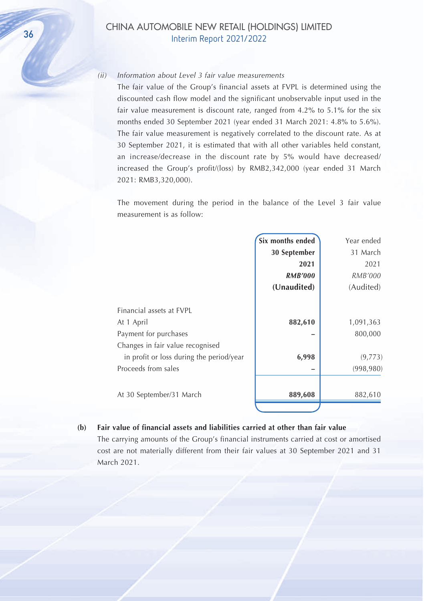#### *(ii) Information about Level 3 fair value measurements*

The fair value of the Group's financial assets at FVPL is determined using the discounted cash flow model and the significant unobservable input used in the fair value measurement is discount rate, ranged from 4.2% to 5.1% for the six months ended 30 September 2021 (year ended 31 March 2021: 4.8% to 5.6%). The fair value measurement is negatively correlated to the discount rate. As at 30 September 2021, it is estimated that with all other variables held constant, an increase/decrease in the discount rate by 5% would have decreased/ increased the Group's profit/(loss) by RMB2,342,000 (year ended 31 March 2021: RMB3,320,000).

The movement during the period in the balance of the Level 3 fair value measurement is as follow:

|                                          | Six months ended | Year ended     |
|------------------------------------------|------------------|----------------|
|                                          | 30 September     | 31 March       |
|                                          | 2021             | 2021           |
|                                          | <b>RMB'000</b>   | <i>RMB'000</i> |
|                                          | (Unaudited)      | (Audited)      |
| Financial assets at FVPL                 |                  |                |
| At 1 April                               | 882,610          | 1,091,363      |
| Payment for purchases                    |                  | 800,000        |
| Changes in fair value recognised         |                  |                |
| in profit or loss during the period/year | 6,998            | (9,773)        |
| Proceeds from sales                      |                  | (998, 980)     |
| At 30 September/31 March                 | 889,608          | 882,610        |
|                                          |                  |                |

**(b) Fair value of financial assets and liabilities carried at other than fair value** The carrying amounts of the Group's financial instruments carried at cost or amortised cost are not materially different from their fair values at 30 September 2021 and 31

March 2021.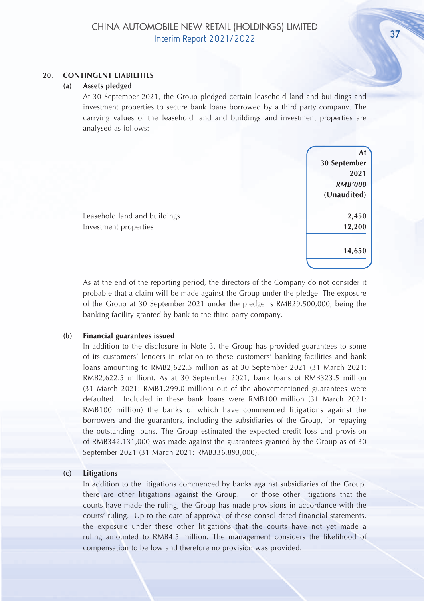#### **20. CONTINGENT LIABILITIES**

#### **(a) Assets pledged**

At 30 September 2021, the Group pledged certain leasehold land and buildings and investment properties to secure bank loans borrowed by a third party company. The carrying values of the leasehold land and buildings and investment properties are analysed as follows:

> **At 30 September 2021** *RMB'000* **(Unaudited) 14,650**

Leasehold land and buildings **2,450** Investment properties **12,200**

As at the end of the reporting period, the directors of the Company do not consider it probable that a claim will be made against the Group under the pledge. The exposure of the Group at 30 September 2021 under the pledge is RMB29,500,000, being the banking facility granted by bank to the third party company.

#### **(b) Financial guarantees issued**

In addition to the disclosure in Note 3, the Group has provided guarantees to some of its customers' lenders in relation to these customers' banking facilities and bank loans amounting to RMB2,622.5 million as at 30 September 2021 (31 March 2021: RMB2,622.5 million). As at 30 September 2021, bank loans of RMB323.5 million (31 March 2021: RMB1,299.0 million) out of the abovementioned guarantees were defaulted. Included in these bank loans were RMB100 million (31 March 2021: RMB100 million) the banks of which have commenced litigations against the borrowers and the guarantors, including the subsidiaries of the Group, for repaying the outstanding loans. The Group estimated the expected credit loss and provision of RMB342,131,000 was made against the guarantees granted by the Group as of 30 September 2021 (31 March 2021: RMB336,893,000).

#### **(c) Litigations**

In addition to the litigations commenced by banks against subsidiaries of the Group, there are other litigations against the Group. For those other litigations that the courts have made the ruling, the Group has made provisions in accordance with the courts' ruling. Up to the date of approval of these consolidated financial statements, the exposure under these other litigations that the courts have not yet made a ruling amounted to RMB4.5 million. The management considers the likelihood of compensation to be low and therefore no provision was provided.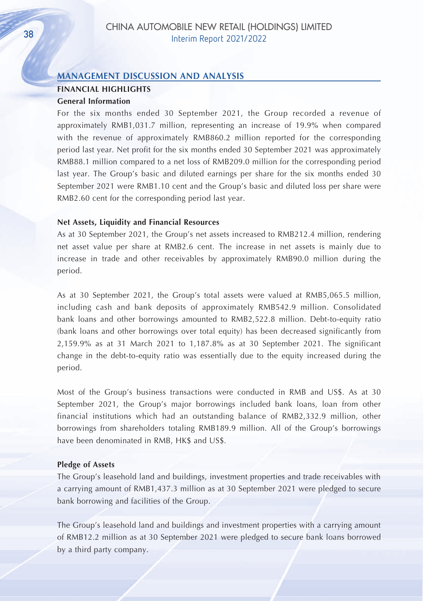#### **MANAGEMENT DISCUSSION AND ANALYSIS**

## **FINANCIAL HIGHLIGHTS**

#### **General Information**

For the six months ended 30 September 2021, the Group recorded a revenue of approximately RMB1,031.7 million, representing an increase of 19.9% when compared with the revenue of approximately RMB860.2 million reported for the corresponding period last year. Net profit for the six months ended 30 September 2021 was approximately RMB88.1 million compared to a net loss of RMB209.0 million for the corresponding period last year. The Group's basic and diluted earnings per share for the six months ended 30 September 2021 were RMB1.10 cent and the Group's basic and diluted loss per share were RMB2.60 cent for the corresponding period last year.

#### **Net Assets, Liquidity and Financial Resources**

As at 30 September 2021, the Group's net assets increased to RMB212.4 million, rendering net asset value per share at RMB2.6 cent. The increase in net assets is mainly due to increase in trade and other receivables by approximately RMB90.0 million during the period.

As at 30 September 2021, the Group's total assets were valued at RMB5,065.5 million, including cash and bank deposits of approximately RMB542.9 million. Consolidated bank loans and other borrowings amounted to RMB2,522.8 million. Debt-to-equity ratio (bank loans and other borrowings over total equity) has been decreased significantly from 2,159.9% as at 31 March 2021 to 1,187.8% as at 30 September 2021. The significant change in the debt-to-equity ratio was essentially due to the equity increased during the period.

Most of the Group's business transactions were conducted in RMB and US\$. As at 30 September 2021, the Group's major borrowings included bank loans, loan from other financial institutions which had an outstanding balance of RMB2,332.9 million, other borrowings from shareholders totaling RMB189.9 million. All of the Group's borrowings have been denominated in RMB, HK\$ and US\$.

#### **Pledge of Assets**

The Group's leasehold land and buildings, investment properties and trade receivables with a carrying amount of RMB1,437.3 million as at 30 September 2021 were pledged to secure bank borrowing and facilities of the Group.

The Group's leasehold land and buildings and investment properties with a carrying amount of RMB12.2 million as at 30 September 2021 were pledged to secure bank loans borrowed by a third party company.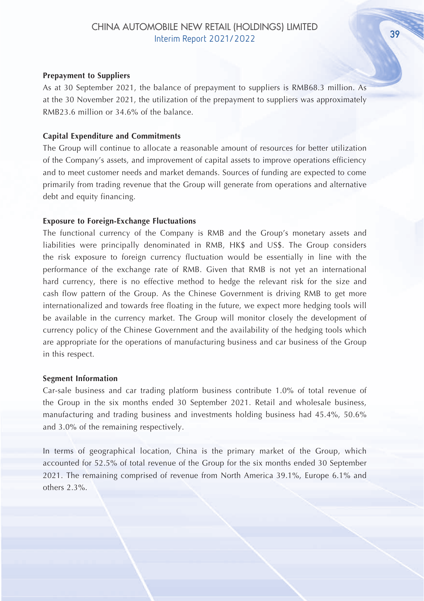#### **Prepayment to Suppliers**

As at 30 September 2021, the balance of prepayment to suppliers is RMB68.3 million. As at the 30 November 2021, the utilization of the prepayment to suppliers was approximately RMB23.6 million or 34.6% of the balance.

#### **Capital Expenditure and Commitments**

The Group will continue to allocate a reasonable amount of resources for better utilization of the Company's assets, and improvement of capital assets to improve operations efficiency and to meet customer needs and market demands. Sources of funding are expected to come primarily from trading revenue that the Group will generate from operations and alternative debt and equity financing.

#### **Exposure to Foreign-Exchange Fluctuations**

The functional currency of the Company is RMB and the Group's monetary assets and liabilities were principally denominated in RMB, HK\$ and US\$. The Group considers the risk exposure to foreign currency fluctuation would be essentially in line with the performance of the exchange rate of RMB. Given that RMB is not yet an international hard currency, there is no effective method to hedge the relevant risk for the size and cash flow pattern of the Group. As the Chinese Government is driving RMB to get more internationalized and towards free floating in the future, we expect more hedging tools will be available in the currency market. The Group will monitor closely the development of currency policy of the Chinese Government and the availability of the hedging tools which are appropriate for the operations of manufacturing business and car business of the Group in this respect.

#### **Segment Information**

Car-sale business and car trading platform business contribute 1.0% of total revenue of the Group in the six months ended 30 September 2021. Retail and wholesale business, manufacturing and trading business and investments holding business had 45.4%, 50.6% and 3.0% of the remaining respectively.

In terms of geographical location, China is the primary market of the Group, which accounted for 52.5% of total revenue of the Group for the six months ended 30 September 2021. The remaining comprised of revenue from North America 39.1%, Europe 6.1% and others 2.3%.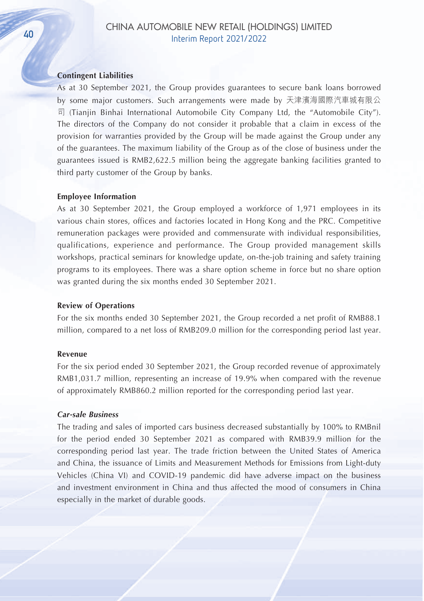#### **Contingent Liabilities**

As at 30 September 2021, the Group provides guarantees to secure bank loans borrowed by some major customers. Such arrangements were made by 天津濱海國際汽車城有限公 司 (Tianjin Binhai International Automobile City Company Ltd, the "Automobile City"). The directors of the Company do not consider it probable that a claim in excess of the provision for warranties provided by the Group will be made against the Group under any of the guarantees. The maximum liability of the Group as of the close of business under the guarantees issued is RMB2,622.5 million being the aggregate banking facilities granted to third party customer of the Group by banks.

#### **Employee Information**

As at 30 September 2021, the Group employed a workforce of 1,971 employees in its various chain stores, offices and factories located in Hong Kong and the PRC. Competitive remuneration packages were provided and commensurate with individual responsibilities, qualifications, experience and performance. The Group provided management skills workshops, practical seminars for knowledge update, on-the-job training and safety training programs to its employees. There was a share option scheme in force but no share option was granted during the six months ended 30 September 2021.

#### **Review of Operations**

For the six months ended 30 September 2021, the Group recorded a net profit of RMB88.1 million, compared to a net loss of RMB209.0 million for the corresponding period last year.

#### **Revenue**

For the six period ended 30 September 2021, the Group recorded revenue of approximately RMB1,031.7 million, representing an increase of 19.9% when compared with the revenue of approximately RMB860.2 million reported for the corresponding period last year.

#### *Car-sale Business*

The trading and sales of imported cars business decreased substantially by 100% to RMBnil for the period ended 30 September 2021 as compared with RMB39.9 million for the corresponding period last year. The trade friction between the United States of America and China, the issuance of Limits and Measurement Methods for Emissions from Light-duty Vehicles (China VI) and COVID-19 pandemic did have adverse impact on the business and investment environment in China and thus affected the mood of consumers in China especially in the market of durable goods.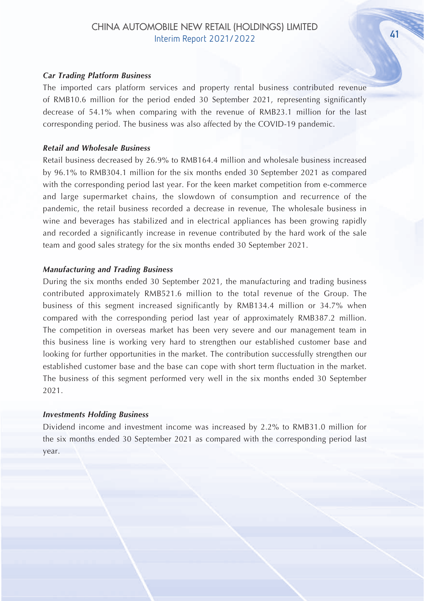#### *Car Trading Platform Business*

The imported cars platform services and property rental business contributed revenue of RMB10.6 million for the period ended 30 September 2021, representing significantly decrease of 54.1% when comparing with the revenue of RMB23.1 million for the last corresponding period. The business was also affected by the COVID-19 pandemic.

#### *Retail and Wholesale Business*

Retail business decreased by 26.9% to RMB164.4 million and wholesale business increased by 96.1% to RMB304.1 million for the six months ended 30 September 2021 as compared with the corresponding period last year. For the keen market competition from e-commerce and large supermarket chains, the slowdown of consumption and recurrence of the pandemic, the retail business recorded a decrease in revenue, The wholesale business in wine and beverages has stabilized and in electrical appliances has been growing rapidly and recorded a significantly increase in revenue contributed by the hard work of the sale team and good sales strategy for the six months ended 30 September 2021.

#### *Manufacturing and Trading Business*

During the six months ended 30 September 2021, the manufacturing and trading business contributed approximately RMB521.6 million to the total revenue of the Group. The business of this segment increased significantly by RMB134.4 million or 34.7% when compared with the corresponding period last year of approximately RMB387.2 million. The competition in overseas market has been very severe and our management team in this business line is working very hard to strengthen our established customer base and looking for further opportunities in the market. The contribution successfully strengthen our established customer base and the base can cope with short term fluctuation in the market. The business of this segment performed very well in the six months ended 30 September 2021.

#### *Investments Holding Business*

Dividend income and investment income was increased by 2.2% to RMB31.0 million for the six months ended 30 September 2021 as compared with the corresponding period last year.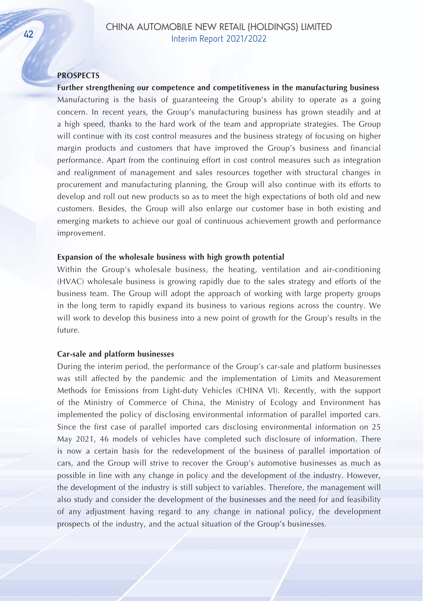#### **PROSPECTS**

**Further strengthening our competence and competitiveness in the manufacturing business** Manufacturing is the basis of guaranteeing the Group's ability to operate as a going concern. In recent years, the Group's manufacturing business has grown steadily and at a high speed, thanks to the hard work of the team and appropriate strategies. The Group will continue with its cost control measures and the business strategy of focusing on higher margin products and customers that have improved the Group's business and financial performance. Apart from the continuing effort in cost control measures such as integration and realignment of management and sales resources together with structural changes in procurement and manufacturing planning, the Group will also continue with its efforts to develop and roll out new products so as to meet the high expectations of both old and new customers. Besides, the Group will also enlarge our customer base in both existing and emerging markets to achieve our goal of continuous achievement growth and performance improvement.

#### **Expansion of the wholesale business with high growth potential**

Within the Group's wholesale business, the heating, ventilation and air-conditioning (HVAC) wholesale business is growing rapidly due to the sales strategy and efforts of the business team. The Group will adopt the approach of working with large property groups in the long term to rapidly expand its business to various regions across the country. We will work to develop this business into a new point of growth for the Group's results in the future.

#### **Car-sale and platform businesses**

During the interim period, the performance of the Group's car-sale and platform businesses was still affected by the pandemic and the implementation of Limits and Measurement Methods for Emissions from Light-duty Vehicles (CHINA VI). Recently, with the support of the Ministry of Commerce of China, the Ministry of Ecology and Environment has implemented the policy of disclosing environmental information of parallel imported cars. Since the first case of parallel imported cars disclosing environmental information on 25 May 2021, 46 models of vehicles have completed such disclosure of information. There is now a certain basis for the redevelopment of the business of parallel importation of cars, and the Group will strive to recover the Group's automotive businesses as much as possible in line with any change in policy and the development of the industry. However, the development of the industry is still subject to variables. Therefore, the management will also study and consider the development of the businesses and the need for and feasibility of any adjustment having regard to any change in national policy, the development prospects of the industry, and the actual situation of the Group's businesses.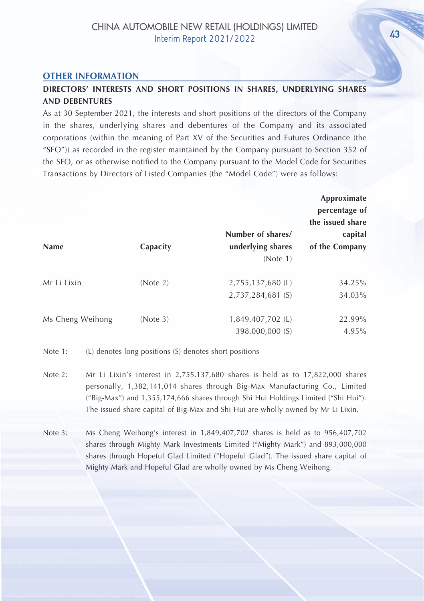#### **OTHER INFORMATION**

## **DIRECTORS' INTERESTS AND SHORT POSITIONS IN SHARES, UNDERLYING SHARES AND DEBENTURES**

As at 30 September 2021, the interests and short positions of the directors of the Company in the shares, underlying shares and debentures of the Company and its associated corporations (within the meaning of Part XV of the Securities and Futures Ordinance (the "SFO")) as recorded in the register maintained by the Company pursuant to Section 352 of the SFO, or as otherwise notified to the Company pursuant to the Model Code for Securities Transactions by Directors of Listed Companies (the "Model Code") were as follows:

|                  |          |                                                    | Approximate<br>percentage of<br>the issued share |
|------------------|----------|----------------------------------------------------|--------------------------------------------------|
| Name             | Capacity | Number of shares/<br>underlying shares<br>(Note 1) | capital<br>of the Company                        |
| Mr Li Lixin      | (Note 2) | 2,755,137,680 (L)<br>2,737,284,681 (S)             | 34.25%<br>34.03%                                 |
| Ms Cheng Weihong | (Note 3) | 1,849,407,702 (L)<br>398,000,000 (S)               | 22.99%<br>$4.95\%$                               |

Note 1: (L) denotes long positions (S) denotes short positions

- Note 2: Mr Li Lixin's interest in 2,755,137,680 shares is held as to 17,822,000 shares personally, 1,382,141,014 shares through Big-Max Manufacturing Co., Limited ("Big-Max") and 1,355,174,666 shares through Shi Hui Holdings Limited ("Shi Hui"). The issued share capital of Big-Max and Shi Hui are wholly owned by Mr Li Lixin.
- Note 3: Ms Cheng Weihong's interest in 1,849,407,702 shares is held as to 956,407,702 shares through Mighty Mark Investments Limited ("Mighty Mark") and 893,000,000 shares through Hopeful Glad Limited ("Hopeful Glad"). The issued share capital of Mighty Mark and Hopeful Glad are wholly owned by Ms Cheng Weihong.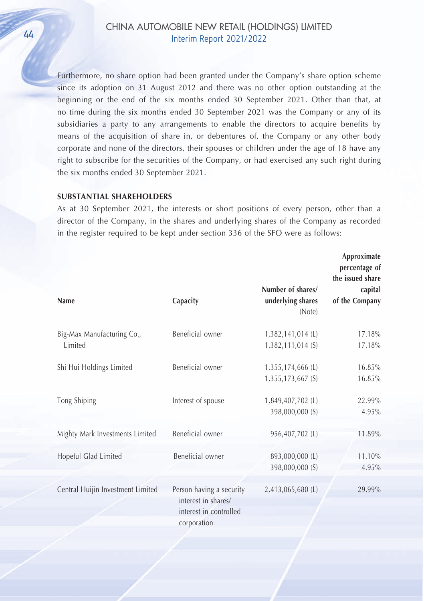> Furthermore, no share option had been granted under the Company's share option scheme since its adoption on 31 August 2012 and there was no other option outstanding at the beginning or the end of the six months ended 30 September 2021. Other than that, at no time during the six months ended 30 September 2021 was the Company or any of its subsidiaries a party to any arrangements to enable the directors to acquire benefits by means of the acquisition of share in, or debentures of, the Company or any other body corporate and none of the directors, their spouses or children under the age of 18 have any right to subscribe for the securities of the Company, or had exercised any such right during the six months ended 30 September 2021.

#### **SUBSTANTIAL SHAREHOLDERS**

As at 30 September 2021, the interests or short positions of every person, other than a director of the Company, in the shares and underlying shares of the Company as recorded in the register required to be kept under section 336 of the SFO were as follows:

|                                       |                                                                                          |                                                  | Approximate<br>percentage of<br>the issued share |
|---------------------------------------|------------------------------------------------------------------------------------------|--------------------------------------------------|--------------------------------------------------|
| Name                                  | Capacity                                                                                 | Number of shares/<br>underlying shares<br>(Note) | capital<br>of the Company                        |
| Big-Max Manufacturing Co.,<br>Limited | Beneficial owner                                                                         | 1,382,141,014 (L)<br>1,382,111,014 (S)           | 17.18%<br>17.18%                                 |
| Shi Hui Holdings Limited              | Beneficial owner                                                                         | 1,355,174,666 (L)<br>1,355,173,667 (S)           | 16.85%<br>16.85%                                 |
| Tong Shiping                          | Interest of spouse                                                                       | 1,849,407,702 (L)<br>398,000,000 (S)             | 22.99%<br>4.95%                                  |
| Mighty Mark Investments Limited       | Beneficial owner                                                                         | 956,407,702 (L)                                  | 11.89%                                           |
| Hopeful Glad Limited                  | Beneficial owner                                                                         | 893,000,000 (L)<br>398,000,000 (S)               | 11.10%<br>4.95%                                  |
| Central Huijin Investment Limited     | Person having a security<br>interest in shares/<br>interest in controlled<br>corporation | 2,413,065,680 (L)                                | 29.99%                                           |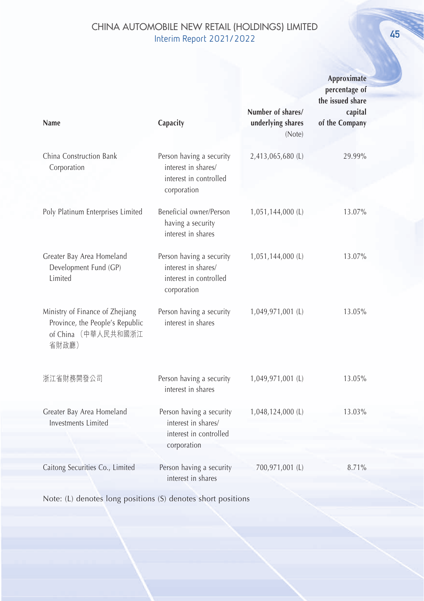| Name                                                                                               | Capacity                                                                                 |                                                  | Approximate<br>percentage of<br>the issued share |
|----------------------------------------------------------------------------------------------------|------------------------------------------------------------------------------------------|--------------------------------------------------|--------------------------------------------------|
|                                                                                                    |                                                                                          | Number of shares/<br>underlying shares<br>(Note) | capital<br>of the Company                        |
| China Construction Bank<br>Corporation                                                             | Person having a security<br>interest in shares/<br>interest in controlled<br>corporation | 2,413,065,680 (L)                                | 29.99%                                           |
| Poly Platinum Enterprises Limited                                                                  | Beneficial owner/Person<br>having a security<br>interest in shares                       | 1,051,144,000 (L)                                | 13.07%                                           |
| Greater Bay Area Homeland<br>Development Fund (GP)<br>Limited                                      | Person having a security<br>interest in shares/<br>interest in controlled<br>corporation | 1,051,144,000 (L)                                | 13.07%                                           |
| Ministry of Finance of Zhejiang<br>Province, the People's Republic<br>of China (中華人民共和國浙江<br>省財政廳) | Person having a security<br>interest in shares                                           | 1,049,971,001 (L)                                | 13.05%                                           |
| 浙江省財務開發公司                                                                                          | Person having a security<br>interest in shares                                           | 1,049,971,001 (L)                                | 13.05%                                           |
| Greater Bay Area Homeland<br>Investments Limited                                                   | Person having a security<br>interest in shares/<br>interest in controlled<br>corporation | 1,048,124,000 (L)                                | 13.03%                                           |
| Caitong Securities Co., Limited                                                                    | Person having a security<br>interest in shares                                           | 700,971,001 (L)                                  | 8.71%                                            |

Note: (L) denotes long positions (S) denotes short positions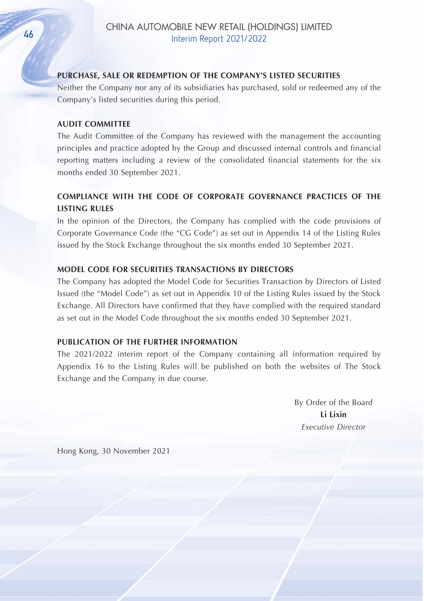#### **PURCHASE, SALE OR REDEMPTION OF THE COMPANY'S LISTED SECURITIES**

Neither the Company nor any of its subsidiaries has purchased, sold or redeemed any of the Company's listed securities during this period.

#### **AUDIT COMMITTEE**

The Audit Committee of the Company has reviewed with the management the accounting principles and practice adopted by the Group and discussed internal controls and financial reporting matters including a review of the consolidated financial statements for the six months ended 30 September 2021.

## **COMPLIANCE WITH THE CODE OF CORPORATE GOVERNANCE PRACTICES OF THE LISTING RULES**

In the opinion of the Directors, the Company has complied with the code provisions of Corporate Governance Code (the "CG Code") as set out in Appendix 14 of the Listing Rules issued by the Stock Exchange throughout the six months ended 30 September 2021.

#### **MODEL CODE FOR SECURITIES TRANSACTIONS BY DIRECTORS**

The Company has adopted the Model Code for Securities Transaction by Directors of Listed Issued (the "Model Code") as set out in Appendix 10 of the Listing Rules issued by the Stock Exchange. All Directors have confirmed that they have complied with the required standard as set out in the Model Code throughout the six months ended 30 September 2021.

#### **PUBLICATION OF THE FURTHER INFORMATION**

The 2021/2022 interim report of the Company containing all information required by Appendix 16 to the Listing Rules will be published on both the websites of The Stock Exchange and the Company in due course.

> By Order of the Board **Li Lixin** *Executive Director*

Hong Kong, 30 November 2021